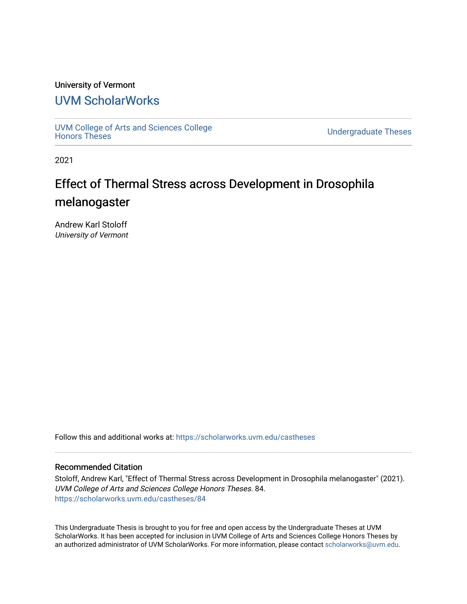# University of Vermont

# [UVM ScholarWorks](https://scholarworks.uvm.edu/)

[UVM College of Arts and Sciences College](https://scholarworks.uvm.edu/castheses)

**Undergraduate Theses** 

2021

# Effect of Thermal Stress across Development in Drosophila melanogaster

Andrew Karl Stoloff University of Vermont

Follow this and additional works at: [https://scholarworks.uvm.edu/castheses](https://scholarworks.uvm.edu/castheses?utm_source=scholarworks.uvm.edu%2Fcastheses%2F84&utm_medium=PDF&utm_campaign=PDFCoverPages)

# Recommended Citation

Stoloff, Andrew Karl, "Effect of Thermal Stress across Development in Drosophila melanogaster" (2021). UVM College of Arts and Sciences College Honors Theses. 84. [https://scholarworks.uvm.edu/castheses/84](https://scholarworks.uvm.edu/castheses/84?utm_source=scholarworks.uvm.edu%2Fcastheses%2F84&utm_medium=PDF&utm_campaign=PDFCoverPages) 

This Undergraduate Thesis is brought to you for free and open access by the Undergraduate Theses at UVM ScholarWorks. It has been accepted for inclusion in UVM College of Arts and Sciences College Honors Theses by an authorized administrator of UVM ScholarWorks. For more information, please contact [scholarworks@uvm.edu.](mailto:scholarworks@uvm.edu)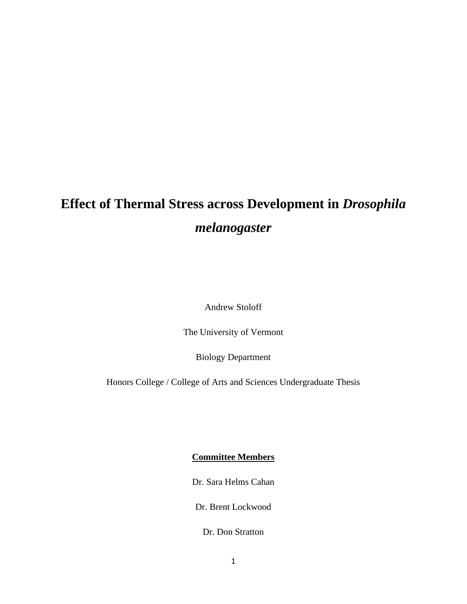# **Effect of Thermal Stress across Development in** *Drosophila melanogaster*

Andrew Stoloff

The University of Vermont

Biology Department

Honors College / College of Arts and Sciences Undergraduate Thesis

# **Committee Members**

Dr. Sara Helms Cahan

Dr. Brent Lockwood

Dr. Don Stratton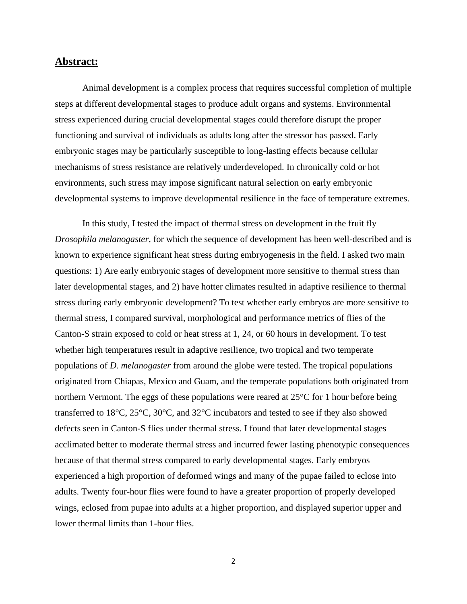# **Abstract:**

Animal development is a complex process that requires successful completion of multiple steps at different developmental stages to produce adult organs and systems. Environmental stress experienced during crucial developmental stages could therefore disrupt the proper functioning and survival of individuals as adults long after the stressor has passed. Early embryonic stages may be particularly susceptible to long-lasting effects because cellular mechanisms of stress resistance are relatively underdeveloped. In chronically cold or hot environments, such stress may impose significant natural selection on early embryonic developmental systems to improve developmental resilience in the face of temperature extremes.

In this study, I tested the impact of thermal stress on development in the fruit fly *Drosophila melanogaster,* for which the sequence of development has been well-described and is known to experience significant heat stress during embryogenesis in the field. I asked two main questions: 1) Are early embryonic stages of development more sensitive to thermal stress than later developmental stages, and 2) have hotter climates resulted in adaptive resilience to thermal stress during early embryonic development? To test whether early embryos are more sensitive to thermal stress, I compared survival, morphological and performance metrics of flies of the Canton-S strain exposed to cold or heat stress at 1, 24, or 60 hours in development. To test whether high temperatures result in adaptive resilience, two tropical and two temperate populations of *D. melanogaster* from around the globe were tested. The tropical populations originated from Chiapas, Mexico and Guam, and the temperate populations both originated from northern Vermont. The eggs of these populations were reared at 25°C for 1 hour before being transferred to 18°C, 25°C, 30°C, and 32°C incubators and tested to see if they also showed defects seen in Canton-S flies under thermal stress. I found that later developmental stages acclimated better to moderate thermal stress and incurred fewer lasting phenotypic consequences because of that thermal stress compared to early developmental stages. Early embryos experienced a high proportion of deformed wings and many of the pupae failed to eclose into adults. Twenty four-hour flies were found to have a greater proportion of properly developed wings, eclosed from pupae into adults at a higher proportion, and displayed superior upper and lower thermal limits than 1-hour flies.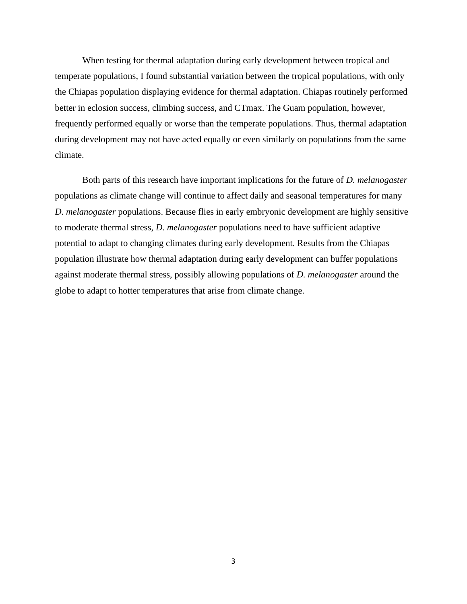When testing for thermal adaptation during early development between tropical and temperate populations, I found substantial variation between the tropical populations, with only the Chiapas population displaying evidence for thermal adaptation. Chiapas routinely performed better in eclosion success, climbing success, and CTmax. The Guam population, however, frequently performed equally or worse than the temperate populations. Thus, thermal adaptation during development may not have acted equally or even similarly on populations from the same climate.

Both parts of this research have important implications for the future of *D. melanogaster*  populations as climate change will continue to affect daily and seasonal temperatures for many *D. melanogaster* populations. Because flies in early embryonic development are highly sensitive to moderate thermal stress, *D. melanogaster* populations need to have sufficient adaptive potential to adapt to changing climates during early development. Results from the Chiapas population illustrate how thermal adaptation during early development can buffer populations against moderate thermal stress, possibly allowing populations of *D. melanogaster* around the globe to adapt to hotter temperatures that arise from climate change.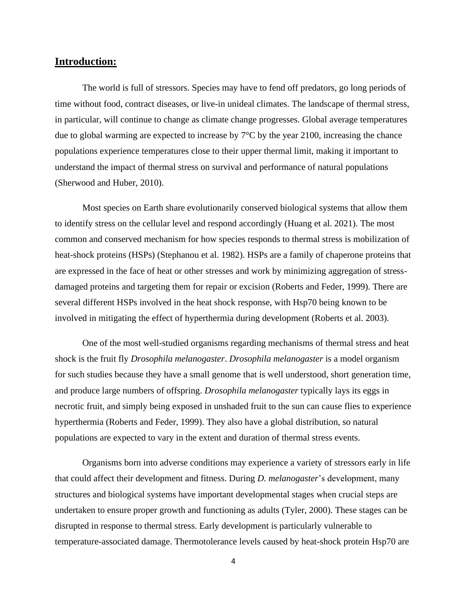# **Introduction:**

The world is full of stressors. Species may have to fend off predators, go long periods of time without food, contract diseases, or live-in unideal climates. The landscape of thermal stress, in particular, will continue to change as climate change progresses. Global average temperatures due to global warming are expected to increase by 7°C by the year 2100, increasing the chance populations experience temperatures close to their upper thermal limit, making it important to understand the impact of thermal stress on survival and performance of natural populations (Sherwood and Huber, 2010).

Most species on Earth share evolutionarily conserved biological systems that allow them to identify stress on the cellular level and respond accordingly (Huang et al. 2021). The most common and conserved mechanism for how species responds to thermal stress is mobilization of heat-shock proteins (HSPs) (Stephanou et al. 1982). HSPs are a family of chaperone proteins that are expressed in the face of heat or other stresses and work by minimizing aggregation of stressdamaged proteins and targeting them for repair or excision (Roberts and Feder, 1999). There are several different HSPs involved in the heat shock response, with Hsp70 being known to be involved in mitigating the effect of hyperthermia during development (Roberts et al. 2003).

One of the most well-studied organisms regarding mechanisms of thermal stress and heat shock is the fruit fly *Drosophila melanogaster*. *Drosophila melanogaster* is a model organism for such studies because they have a small genome that is well understood, short generation time, and produce large numbers of offspring. *Drosophila melanogaster* typically lays its eggs in necrotic fruit, and simply being exposed in unshaded fruit to the sun can cause flies to experience hyperthermia (Roberts and Feder, 1999). They also have a global distribution, so natural populations are expected to vary in the extent and duration of thermal stress events.

 Organisms born into adverse conditions may experience a variety of stressors early in life that could affect their development and fitness. During *D. melanogaster*'s development, many structures and biological systems have important developmental stages when crucial steps are undertaken to ensure proper growth and functioning as adults (Tyler, 2000). These stages can be disrupted in response to thermal stress. Early development is particularly vulnerable to temperature-associated damage. Thermotolerance levels caused by heat-shock protein Hsp70 are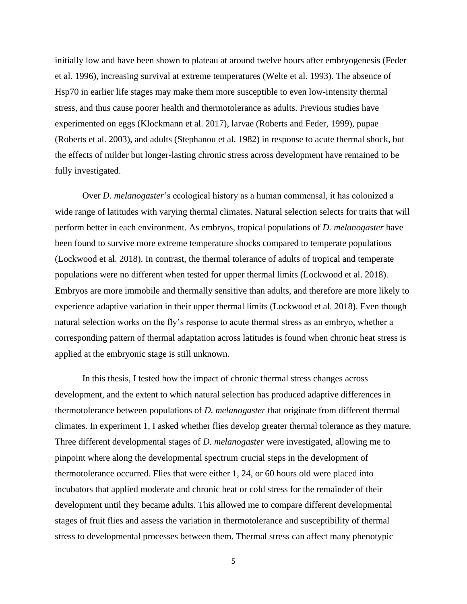initially low and have been shown to plateau at around twelve hours after embryogenesis (Feder et al. 1996), increasing survival at extreme temperatures (Welte et al. 1993). The absence of Hsp70 in earlier life stages may make them more susceptible to even low-intensity thermal stress, and thus cause poorer health and thermotolerance as adults. Previous studies have experimented on eggs (Klockmann et al. 2017), larvae (Roberts and Feder, 1999), pupae (Roberts et al. 2003), and adults (Stephanou et al. 1982) in response to acute thermal shock, but the effects of milder but longer-lasting chronic stress across development have remained to be fully investigated.

Over *D. melanogaster*'s ecological history as a human commensal, it has colonized a wide range of latitudes with varying thermal climates. Natural selection selects for traits that will perform better in each environment. As embryos, tropical populations of *D. melanogaster* have been found to survive more extreme temperature shocks compared to temperate populations (Lockwood et al. 2018). In contrast, the thermal tolerance of adults of tropical and temperate populations were no different when tested for upper thermal limits (Lockwood et al. 2018). Embryos are more immobile and thermally sensitive than adults, and therefore are more likely to experience adaptive variation in their upper thermal limits (Lockwood et al. 2018). Even though natural selection works on the fly's response to acute thermal stress as an embryo, whether a corresponding pattern of thermal adaptation across latitudes is found when chronic heat stress is applied at the embryonic stage is still unknown.

In this thesis, I tested how the impact of chronic thermal stress changes across development, and the extent to which natural selection has produced adaptive differences in thermotolerance between populations of *D. melanogaster* that originate from different thermal climates. In experiment 1, I asked whether flies develop greater thermal tolerance as they mature. Three different developmental stages of *D. melanogaster* were investigated, allowing me to pinpoint where along the developmental spectrum crucial steps in the development of thermotolerance occurred. Flies that were either 1, 24, or 60 hours old were placed into incubators that applied moderate and chronic heat or cold stress for the remainder of their development until they became adults. This allowed me to compare different developmental stages of fruit flies and assess the variation in thermotolerance and susceptibility of thermal stress to developmental processes between them. Thermal stress can affect many phenotypic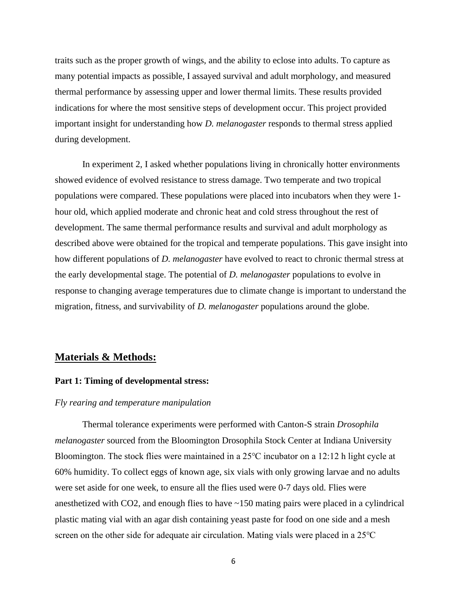traits such as the proper growth of wings, and the ability to eclose into adults. To capture as many potential impacts as possible, I assayed survival and adult morphology, and measured thermal performance by assessing upper and lower thermal limits. These results provided indications for where the most sensitive steps of development occur. This project provided important insight for understanding how *D. melanogaster* responds to thermal stress applied during development.

In experiment 2, I asked whether populations living in chronically hotter environments showed evidence of evolved resistance to stress damage. Two temperate and two tropical populations were compared. These populations were placed into incubators when they were 1 hour old, which applied moderate and chronic heat and cold stress throughout the rest of development. The same thermal performance results and survival and adult morphology as described above were obtained for the tropical and temperate populations. This gave insight into how different populations of *D. melanogaster* have evolved to react to chronic thermal stress at the early developmental stage. The potential of *D. melanogaster* populations to evolve in response to changing average temperatures due to climate change is important to understand the migration, fitness, and survivability of *D. melanogaster* populations around the globe.

# **Materials & Methods:**

### **Part 1: Timing of developmental stress:**

## *Fly rearing and temperature manipulation*

Thermal tolerance experiments were performed with Canton-S strain *Drosophila melanogaster* sourced from the Bloomington Drosophila Stock Center at Indiana University Bloomington. The stock flies were maintained in a 25℃ incubator on a 12:12 h light cycle at 60% humidity. To collect eggs of known age, six vials with only growing larvae and no adults were set aside for one week, to ensure all the flies used were 0-7 days old. Flies were anesthetized with CO2, and enough flies to have ~150 mating pairs were placed in a cylindrical plastic mating vial with an agar dish containing yeast paste for food on one side and a mesh screen on the other side for adequate air circulation. Mating vials were placed in a 25<sup>o</sup>C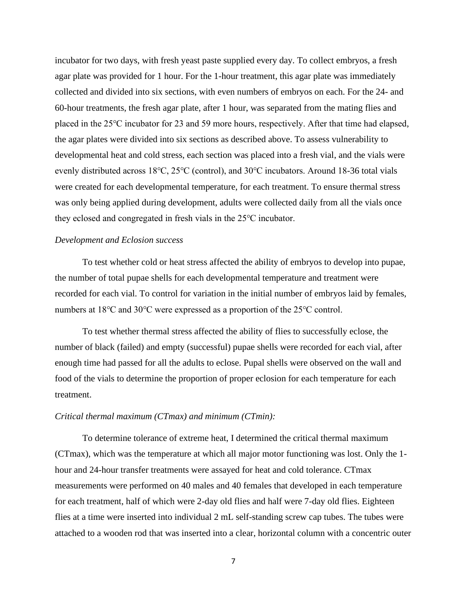incubator for two days, with fresh yeast paste supplied every day. To collect embryos, a fresh agar plate was provided for 1 hour. For the 1-hour treatment, this agar plate was immediately collected and divided into six sections, with even numbers of embryos on each. For the 24- and 60-hour treatments, the fresh agar plate, after 1 hour, was separated from the mating flies and placed in the 25℃ incubator for 23 and 59 more hours, respectively. After that time had elapsed, the agar plates were divided into six sections as described above. To assess vulnerability to developmental heat and cold stress, each section was placed into a fresh vial, and the vials were evenly distributed across 18℃, 25℃ (control), and 30℃ incubators. Around 18-36 total vials were created for each developmental temperature, for each treatment. To ensure thermal stress was only being applied during development, adults were collected daily from all the vials once they eclosed and congregated in fresh vials in the 25℃ incubator.

## *Development and Eclosion success*

To test whether cold or heat stress affected the ability of embryos to develop into pupae, the number of total pupae shells for each developmental temperature and treatment were recorded for each vial. To control for variation in the initial number of embryos laid by females, numbers at 18°C and 30°C were expressed as a proportion of the 25°C control.

To test whether thermal stress affected the ability of flies to successfully eclose, the number of black (failed) and empty (successful) pupae shells were recorded for each vial, after enough time had passed for all the adults to eclose. Pupal shells were observed on the wall and food of the vials to determine the proportion of proper eclosion for each temperature for each treatment.

#### *Critical thermal maximum (CTmax) and minimum (CTmin):*

To determine tolerance of extreme heat, I determined the critical thermal maximum (CTmax), which was the temperature at which all major motor functioning was lost. Only the 1 hour and 24-hour transfer treatments were assayed for heat and cold tolerance. CTmax measurements were performed on 40 males and 40 females that developed in each temperature for each treatment, half of which were 2-day old flies and half were 7-day old flies. Eighteen flies at a time were inserted into individual 2 mL self-standing screw cap tubes. The tubes were attached to a wooden rod that was inserted into a clear, horizontal column with a concentric outer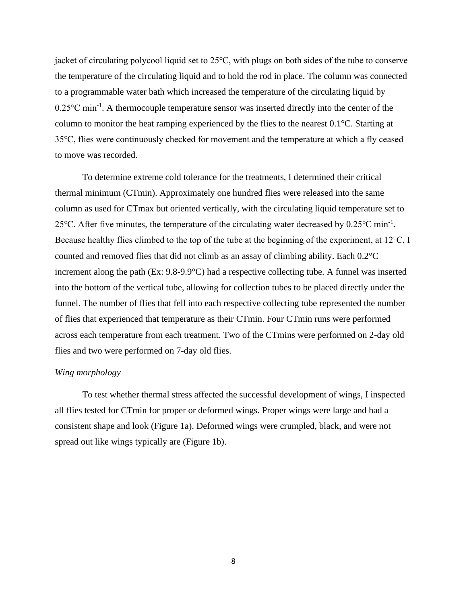jacket of circulating polycool liquid set to 25℃, with plugs on both sides of the tube to conserve the temperature of the circulating liquid and to hold the rod in place. The column was connected to a programmable water bath which increased the temperature of the circulating liquid by  $0.25^{\circ}$ C min<sup>-1</sup>. A thermocouple temperature sensor was inserted directly into the center of the column to monitor the heat ramping experienced by the flies to the nearest  $0.1^{\circ}$ C. Starting at 35℃, flies were continuously checked for movement and the temperature at which a fly ceased to move was recorded.

To determine extreme cold tolerance for the treatments, I determined their critical thermal minimum (CTmin). Approximately one hundred flies were released into the same column as used for CTmax but oriented vertically, with the circulating liquid temperature set to 25 °C. After five minutes, the temperature of the circulating water decreased by  $0.25$  °C min<sup>-1</sup>. Because healthy flies climbed to the top of the tube at the beginning of the experiment, at 12℃, I counted and removed flies that did not climb as an assay of climbing ability. Each 0.2°C increment along the path (Ex: 9.8-9.9°C) had a respective collecting tube. A funnel was inserted into the bottom of the vertical tube, allowing for collection tubes to be placed directly under the funnel. The number of flies that fell into each respective collecting tube represented the number of flies that experienced that temperature as their CTmin. Four CTmin runs were performed across each temperature from each treatment. Two of the CTmins were performed on 2-day old flies and two were performed on 7-day old flies.

# *Wing morphology*

To test whether thermal stress affected the successful development of wings, I inspected all flies tested for CTmin for proper or deformed wings. Proper wings were large and had a consistent shape and look (Figure 1a). Deformed wings were crumpled, black, and were not spread out like wings typically are (Figure 1b).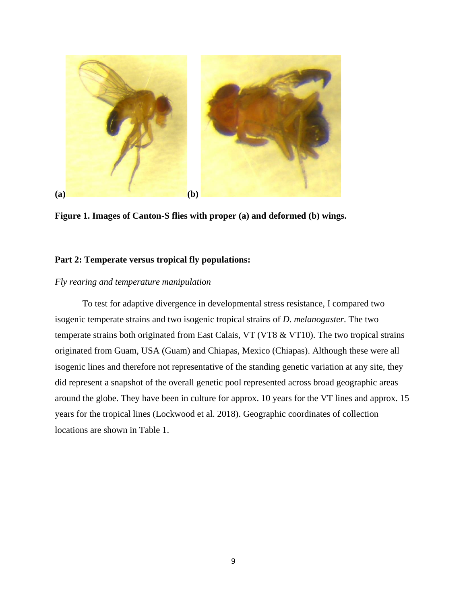

**Figure 1. Images of Canton-S flies with proper (a) and deformed (b) wings.**

# **Part 2: Temperate versus tropical fly populations:**

# *Fly rearing and temperature manipulation*

To test for adaptive divergence in developmental stress resistance, I compared two isogenic temperate strains and two isogenic tropical strains of *D. melanogaster*. The two temperate strains both originated from East Calais, VT (VT8 & VT10). The two tropical strains originated from Guam, USA (Guam) and Chiapas, Mexico (Chiapas). Although these were all isogenic lines and therefore not representative of the standing genetic variation at any site, they did represent a snapshot of the overall genetic pool represented across broad geographic areas around the globe. They have been in culture for approx. 10 years for the VT lines and approx. 15 years for the tropical lines (Lockwood et al. 2018). Geographic coordinates of collection locations are shown in Table 1.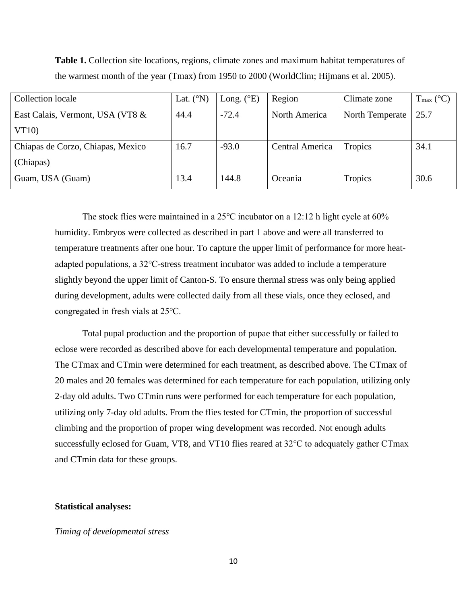| Collection locale                 | Lat. $(^{\circ}N)$ | Long. $(^{\circ}E)$ | Region          | Climate zone    | $T_{\text{max}}$ (°C) |
|-----------------------------------|--------------------|---------------------|-----------------|-----------------|-----------------------|
| East Calais, Vermont, USA (VT8 &  | 44.4               | $-72.4$             | North America   | North Temperate | 25.7                  |
| VT10                              |                    |                     |                 |                 |                       |
| Chiapas de Corzo, Chiapas, Mexico | 16.7               | $-93.0$             | Central America | Tropics         | 34.1                  |
| (Chiapas)                         |                    |                     |                 |                 |                       |
| Guam, USA (Guam)                  | 13.4               | 144.8               | Oceania         | Tropics         | 30.6                  |

**Table 1.** Collection site locations, regions, climate zones and maximum habitat temperatures of the warmest month of the year (Tmax) from 1950 to 2000 (WorldClim; Hijmans et al. 2005).

The stock flies were maintained in a 25℃ incubator on a 12:12 h light cycle at 60% humidity. Embryos were collected as described in part 1 above and were all transferred to temperature treatments after one hour. To capture the upper limit of performance for more heatadapted populations, a 32℃-stress treatment incubator was added to include a temperature slightly beyond the upper limit of Canton-S. To ensure thermal stress was only being applied during development, adults were collected daily from all these vials, once they eclosed, and congregated in fresh vials at 25℃.

Total pupal production and the proportion of pupae that either successfully or failed to eclose were recorded as described above for each developmental temperature and population. The CTmax and CTmin were determined for each treatment, as described above. The CTmax of 20 males and 20 females was determined for each temperature for each population, utilizing only 2-day old adults. Two CTmin runs were performed for each temperature for each population, utilizing only 7-day old adults. From the flies tested for CTmin, the proportion of successful climbing and the proportion of proper wing development was recorded. Not enough adults successfully eclosed for Guam, VT8, and VT10 flies reared at 32℃ to adequately gather CTmax and CTmin data for these groups.

#### **Statistical analyses:**

#### *Timing of developmental stress*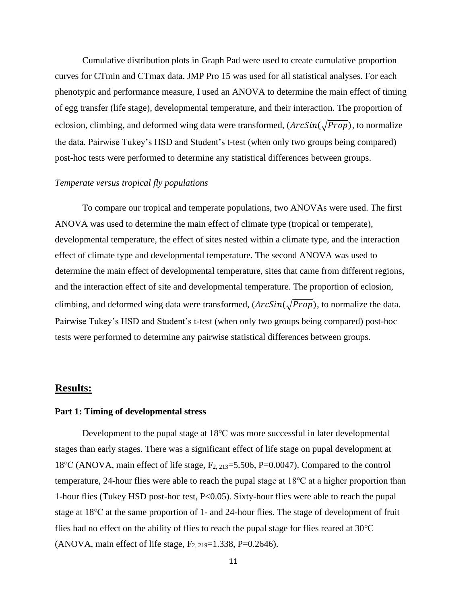Cumulative distribution plots in Graph Pad were used to create cumulative proportion curves for CTmin and CTmax data. JMP Pro 15 was used for all statistical analyses. For each phenotypic and performance measure, I used an ANOVA to determine the main effect of timing of egg transfer (life stage), developmental temperature, and their interaction. The proportion of eclosion, climbing, and deformed wing data were transformed,  $(ArcSin(\sqrt{Prop})$ , to normalize the data. Pairwise Tukey's HSD and Student's t-test (when only two groups being compared) post-hoc tests were performed to determine any statistical differences between groups.

#### *Temperate versus tropical fly populations*

To compare our tropical and temperate populations, two ANOVAs were used. The first ANOVA was used to determine the main effect of climate type (tropical or temperate), developmental temperature, the effect of sites nested within a climate type, and the interaction effect of climate type and developmental temperature. The second ANOVA was used to determine the main effect of developmental temperature, sites that came from different regions, and the interaction effect of site and developmental temperature. The proportion of eclosion, climbing, and deformed wing data were transformed,  $(ArcSin(\sqrt{Prop})$ , to normalize the data. Pairwise Tukey's HSD and Student's t-test (when only two groups being compared) post-hoc tests were performed to determine any pairwise statistical differences between groups.

# **Results:**

### **Part 1: Timing of developmental stress**

Development to the pupal stage at 18℃ was more successful in later developmental stages than early stages. There was a significant effect of life stage on pupal development at 18<sup>o</sup>C (ANOVA, main effect of life stage, F<sub>2, 213</sub>=5.506, P=0.0047). Compared to the control temperature, 24-hour flies were able to reach the pupal stage at 18℃ at a higher proportion than 1-hour flies (Tukey HSD post-hoc test, P<0.05). Sixty-hour flies were able to reach the pupal stage at 18℃ at the same proportion of 1- and 24-hour flies. The stage of development of fruit flies had no effect on the ability of flies to reach the pupal stage for flies reared at 30℃ (ANOVA, main effect of life stage,  $F_{2, 219} = 1.338$ , P=0.2646).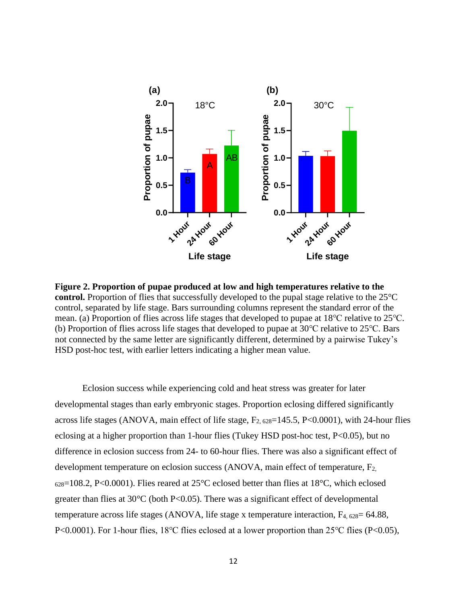

**Figure 2. Proportion of pupae produced at low and high temperatures relative to the control.** Proportion of flies that successfully developed to the pupal stage relative to the 25<sup>o</sup>C control, separated by life stage. Bars surrounding columns represent the standard error of the mean. (a) Proportion of flies across life stages that developed to pupae at 18℃ relative to 25℃. (b) Proportion of flies across life stages that developed to pupae at 30℃ relative to 25℃. Bars not connected by the same letter are significantly different, determined by a pairwise Tukey's HSD post-hoc test, with earlier letters indicating a higher mean value.

Eclosion success while experiencing cold and heat stress was greater for later developmental stages than early embryonic stages. Proportion eclosing differed significantly across life stages (ANOVA, main effect of life stage,  $F_{2.628}$ =145.5, P<0.0001), with 24-hour flies eclosing at a higher proportion than 1-hour flies (Tukey HSD post-hoc test, P<0.05), but no difference in eclosion success from 24- to 60-hour flies. There was also a significant effect of development temperature on eclosion success (ANOVA, main effect of temperature, F2,  $628=108.2$ , P<0.0001). Flies reared at 25 $^{\circ}$ C eclosed better than flies at 18 $^{\circ}$ C, which eclosed greater than flies at  $30^{\circ}$ C (both P<0.05). There was a significant effect of developmental temperature across life stages (ANOVA, life stage x temperature interaction,  $F_{4,628}=64.88$ , P<0.0001). For 1-hour flies, 18℃ flies eclosed at a lower proportion than 25℃ flies (P<0.05),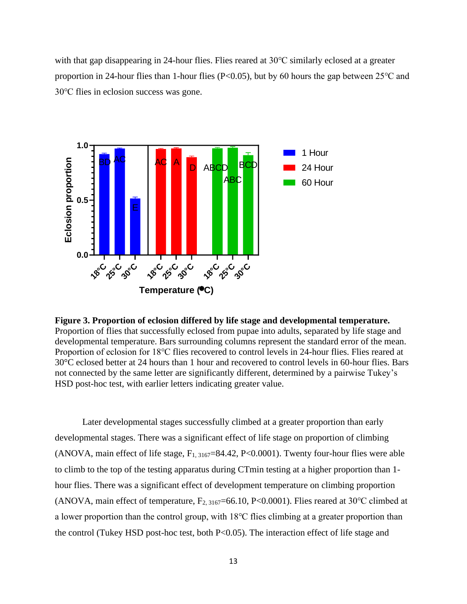with that gap disappearing in 24-hour flies. Flies reared at 30℃ similarly eclosed at a greater proportion in 24-hour flies than 1-hour flies (P<0.05), but by 60 hours the gap between 25 °C and 30℃ flies in eclosion success was gone.





Later developmental stages successfully climbed at a greater proportion than early developmental stages. There was a significant effect of life stage on proportion of climbing (ANOVA, main effect of life stage,  $F_{1, 3167} = 84.42$ , P<0.0001). Twenty four-hour flies were able to climb to the top of the testing apparatus during CTmin testing at a higher proportion than 1 hour flies. There was a significant effect of development temperature on climbing proportion (ANOVA, main effect of temperature,  $F_{2, 3167}$ =66.10, P<0.0001). Flies reared at 30°C climbed at a lower proportion than the control group, with 18℃ flies climbing at a greater proportion than the control (Tukey HSD post-hoc test, both P<0.05). The interaction effect of life stage and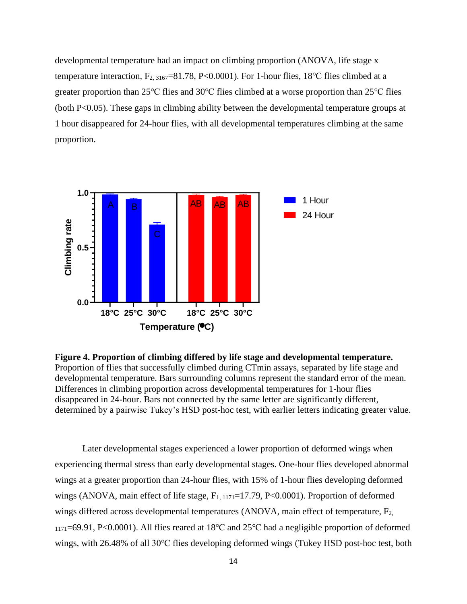developmental temperature had an impact on climbing proportion (ANOVA, life stage x temperature interaction,  $F_{2, 3167}=81.78$ , P<0.0001). For 1-hour flies, 18°C flies climbed at a greater proportion than 25℃ flies and 30℃ flies climbed at a worse proportion than 25℃ flies (both P<0.05). These gaps in climbing ability between the developmental temperature groups at 1 hour disappeared for 24-hour flies, with all developmental temperatures climbing at the same proportion.



**Figure 4. Proportion of climbing differed by life stage and developmental temperature.** Proportion of flies that successfully climbed during CTmin assays, separated by life stage and developmental temperature. Bars surrounding columns represent the standard error of the mean. Differences in climbing proportion across developmental temperatures for 1-hour flies disappeared in 24-hour. Bars not connected by the same letter are significantly different, determined by a pairwise Tukey's HSD post-hoc test, with earlier letters indicating greater value.

Later developmental stages experienced a lower proportion of deformed wings when experiencing thermal stress than early developmental stages. One-hour flies developed abnormal wings at a greater proportion than 24-hour flies, with 15% of 1-hour flies developing deformed wings (ANOVA, main effect of life stage,  $F_{1, 1171}$ =17.79, P<0.0001). Proportion of deformed wings differed across developmental temperatures (ANOVA, main effect of temperature, F<sub>2,</sub> <sup>1171</sup>=69.91, P<0.0001). All flies reared at 18℃ and 25℃ had a negligible proportion of deformed wings, with 26.48% of all 30℃ flies developing deformed wings (Tukey HSD post-hoc test, both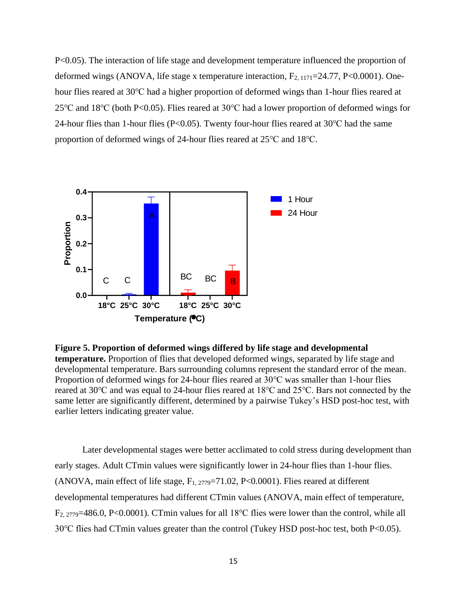P<0.05). The interaction of life stage and development temperature influenced the proportion of deformed wings (ANOVA, life stage x temperature interaction,  $F_{2,1171}$ =24.77, P<0.0001). Onehour flies reared at 30℃ had a higher proportion of deformed wings than 1-hour flies reared at 25℃ and 18℃ (both P<0.05). Flies reared at 30℃ had a lower proportion of deformed wings for 24-hour flies than 1-hour flies (P<0.05). Twenty four-hour flies reared at 30℃ had the same proportion of deformed wings of 24-hour flies reared at 25℃ and 18℃.



**Figure 5. Proportion of deformed wings differed by life stage and developmental temperature.** Proportion of flies that developed deformed wings, separated by life stage and developmental temperature. Bars surrounding columns represent the standard error of the mean. Proportion of deformed wings for 24-hour flies reared at 30℃ was smaller than 1-hour flies reared at 30℃ and was equal to 24-hour flies reared at 18℃ and 25℃. Bars not connected by the same letter are significantly different, determined by a pairwise Tukey's HSD post-hoc test, with earlier letters indicating greater value.

Later developmental stages were better acclimated to cold stress during development than early stages. Adult CTmin values were significantly lower in 24-hour flies than 1-hour flies. (ANOVA, main effect of life stage, F1, 2779=71.02, P<0.0001). Flies reared at different developmental temperatures had different CTmin values (ANOVA, main effect of temperature, F2, 2779=486.0, P<0.0001). CTmin values for all 18℃ flies were lower than the control, while all 30℃ flies had CTmin values greater than the control (Tukey HSD post-hoc test, both P<0.05).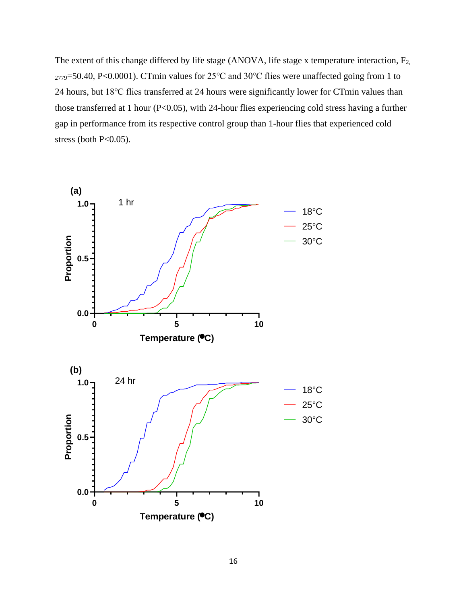The extent of this change differed by life stage (ANOVA, life stage x temperature interaction, F<sub>2,</sub> <sup>2779</sup>=50.40, P<0.0001). CTmin values for 25℃ and 30℃ flies were unaffected going from 1 to 24 hours, but 18℃ flies transferred at 24 hours were significantly lower for CTmin values than those transferred at 1 hour (P<0.05), with 24-hour flies experiencing cold stress having a further gap in performance from its respective control group than 1-hour flies that experienced cold stress (both  $P<0.05$ ).

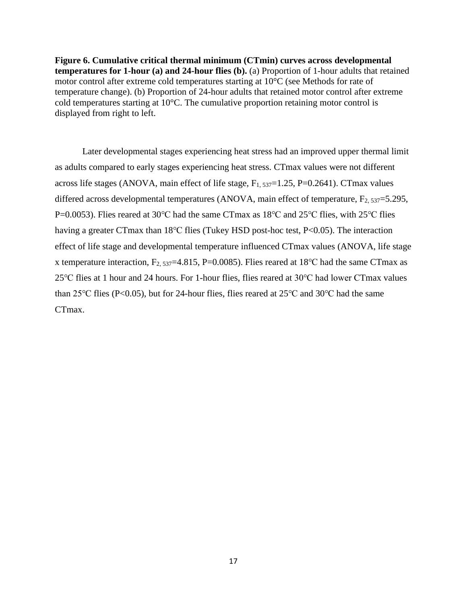**Figure 6. Cumulative critical thermal minimum (CTmin) curves across developmental temperatures for 1-hour (a) and 24-hour flies (b).** (a) Proportion of 1-hour adults that retained motor control after extreme cold temperatures starting at 10°C (see Methods for rate of temperature change). (b) Proportion of 24-hour adults that retained motor control after extreme cold temperatures starting at 10°C. The cumulative proportion retaining motor control is displayed from right to left.

Later developmental stages experiencing heat stress had an improved upper thermal limit as adults compared to early stages experiencing heat stress. CTmax values were not different across life stages (ANOVA, main effect of life stage,  $F_{1, 537}$ =1.25, P=0.2641). CTmax values differed across developmental temperatures (ANOVA, main effect of temperature,  $F_{2, 537}=5.295$ , P=0.0053). Flies reared at 30°C had the same CTmax as 18°C and 25°C flies, with 25°C flies having a greater CTmax than 18℃ flies (Tukey HSD post-hoc test, P<0.05). The interaction effect of life stage and developmental temperature influenced CTmax values (ANOVA, life stage x temperature interaction,  $F_{2, 537}$ =4.815, P=0.0085). Flies reared at 18<sup>o</sup>C had the same CTmax as 25℃ flies at 1 hour and 24 hours. For 1-hour flies, flies reared at 30℃ had lower CTmax values than 25℃ flies (P<0.05), but for 24-hour flies, flies reared at 25℃ and 30℃ had the same CTmax.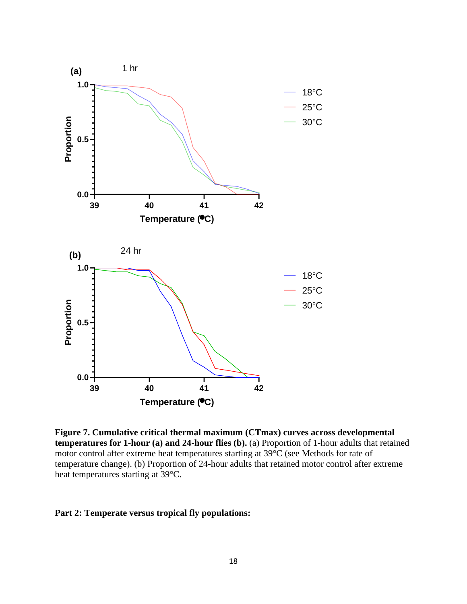

**Figure 7. Cumulative critical thermal maximum (CTmax) curves across developmental temperatures for 1-hour (a) and 24-hour flies (b).** (a) Proportion of 1-hour adults that retained motor control after extreme heat temperatures starting at 39°C (see Methods for rate of temperature change). (b) Proportion of 24-hour adults that retained motor control after extreme heat temperatures starting at 39°C.

# **Part 2: Temperate versus tropical fly populations:**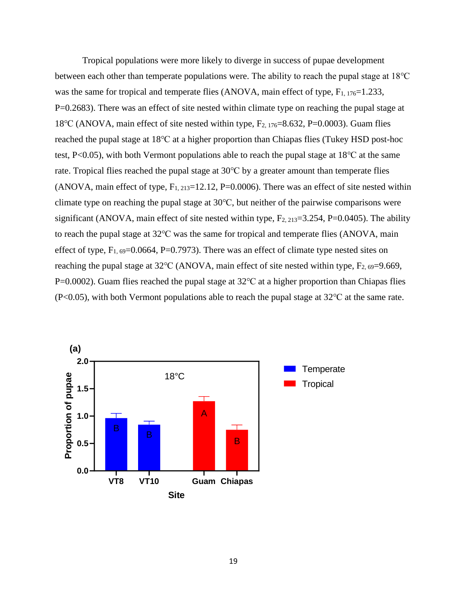Tropical populations were more likely to diverge in success of pupae development between each other than temperate populations were. The ability to reach the pupal stage at 18℃ was the same for tropical and temperate flies (ANOVA, main effect of type,  $F_{1, 176}=1.233$ , P=0.2683). There was an effect of site nested within climate type on reaching the pupal stage at 18℃ (ANOVA, main effect of site nested within type, F2, 176=8.632, P=0.0003). Guam flies reached the pupal stage at 18℃ at a higher proportion than Chiapas flies (Tukey HSD post-hoc test, P<0.05), with both Vermont populations able to reach the pupal stage at 18℃ at the same rate. Tropical flies reached the pupal stage at 30℃ by a greater amount than temperate flies (ANOVA, main effect of type,  $F_{1, 213}=12.12$ , P=0.0006). There was an effect of site nested within climate type on reaching the pupal stage at 30℃, but neither of the pairwise comparisons were significant (ANOVA, main effect of site nested within type,  $F_{2, 213}=3.254$ , P=0.0405). The ability to reach the pupal stage at 32℃ was the same for tropical and temperate flies (ANOVA, main effect of type,  $F_{1, 69}$ =0.0664, P=0.7973). There was an effect of climate type nested sites on reaching the pupal stage at  $32^{\circ}$ C (ANOVA, main effect of site nested within type,  $F_{2.69}$ =9.669, P=0.0002). Guam flies reached the pupal stage at 32 °C at a higher proportion than Chiapas flies (P<0.05), with both Vermont populations able to reach the pupal stage at 32℃ at the same rate.

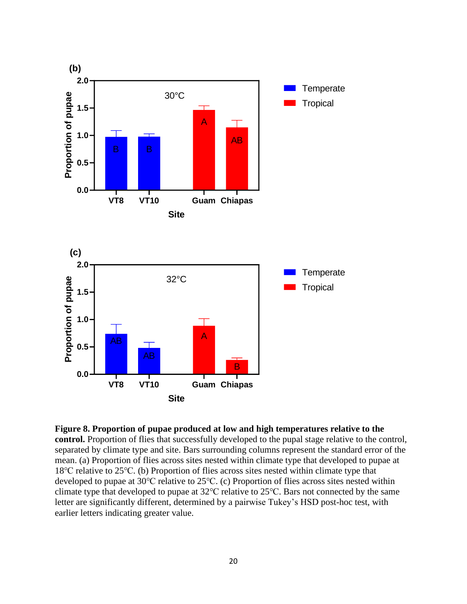

**Figure 8. Proportion of pupae produced at low and high temperatures relative to the control.** Proportion of flies that successfully developed to the pupal stage relative to the control, separated by climate type and site. Bars surrounding columns represent the standard error of the mean. (a) Proportion of flies across sites nested within climate type that developed to pupae at 18℃ relative to 25℃. (b) Proportion of flies across sites nested within climate type that developed to pupae at 30℃ relative to 25℃. (c) Proportion of flies across sites nested within climate type that developed to pupae at 32℃ relative to 25℃. Bars not connected by the same letter are significantly different, determined by a pairwise Tukey's HSD post-hoc test, with earlier letters indicating greater value.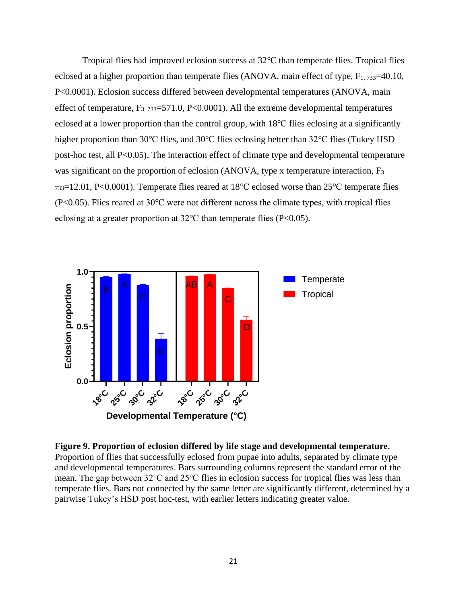Tropical flies had improved eclosion success at 32℃ than temperate flies. Tropical flies eclosed at a higher proportion than temperate flies (ANOVA, main effect of type,  $F_{1, 733}=40.10$ , P<0.0001). Eclosion success differed between developmental temperatures (ANOVA, main effect of temperature,  $F_{3, 733}=571.0$ , P<0.0001). All the extreme developmental temperatures eclosed at a lower proportion than the control group, with 18℃ flies eclosing at a significantly higher proportion than 30℃ flies, and 30℃ flies eclosing better than 32℃ flies (Tukey HSD post-hoc test, all P<0.05). The interaction effect of climate type and developmental temperature was significant on the proportion of eclosion (ANOVA, type x temperature interaction, F<sub>3,</sub> <sup>733</sup>=12.01, P<0.0001). Temperate flies reared at 18℃ eclosed worse than 25℃ temperate flies (P<0.05). Flies reared at 30℃ were not different across the climate types, with tropical flies eclosing at a greater proportion at 32℃ than temperate flies (P<0.05).



**Figure 9. Proportion of eclosion differed by life stage and developmental temperature.**  Proportion of flies that successfully eclosed from pupae into adults, separated by climate type and developmental temperatures. Bars surrounding columns represent the standard error of the mean. The gap between 32℃ and 25℃ flies in eclosion success for tropical flies was less than temperate flies. Bars not connected by the same letter are significantly different, determined by a pairwise Tukey's HSD post hoc-test, with earlier letters indicating greater value.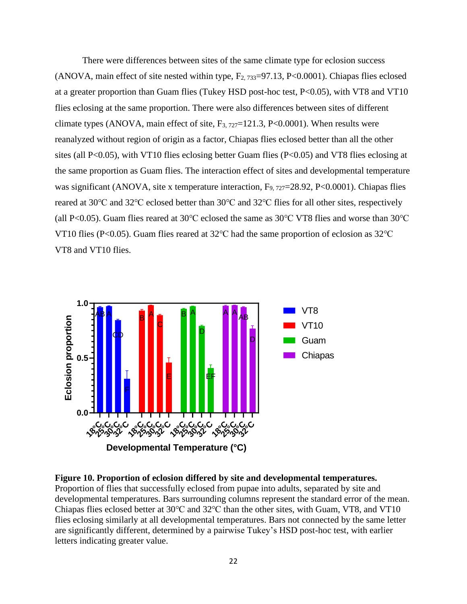There were differences between sites of the same climate type for eclosion success (ANOVA, main effect of site nested within type,  $F_2$ ,  $733=97.13$ ,  $P<0.0001$ ). Chiapas flies eclosed at a greater proportion than Guam flies (Tukey HSD post-hoc test, P<0.05), with VT8 and VT10 flies eclosing at the same proportion. There were also differences between sites of different climate types (ANOVA, main effect of site,  $F_{3, 727}=121.3$ , P<0.0001). When results were reanalyzed without region of origin as a factor, Chiapas flies eclosed better than all the other sites (all P<0.05), with VT10 flies eclosing better Guam flies (P<0.05) and VT8 flies eclosing at the same proportion as Guam flies. The interaction effect of sites and developmental temperature was significant (ANOVA, site x temperature interaction, F<sub>9, 727</sub>=28.92, P<0.0001). Chiapas flies reared at 30℃ and 32℃ eclosed better than 30℃ and 32℃ flies for all other sites, respectively (all P<0.05). Guam flies reared at 30℃ eclosed the same as 30℃ VT8 flies and worse than 30℃ VT10 flies (P<0.05). Guam flies reared at 32℃ had the same proportion of eclosion as 32℃ VT8 and VT10 flies.



**Figure 10. Proportion of eclosion differed by site and developmental temperatures.**  Proportion of flies that successfully eclosed from pupae into adults, separated by site and developmental temperatures. Bars surrounding columns represent the standard error of the mean. Chiapas flies eclosed better at 30℃ and 32℃ than the other sites, with Guam, VT8, and VT10 flies eclosing similarly at all developmental temperatures. Bars not connected by the same letter are significantly different, determined by a pairwise Tukey's HSD post-hoc test, with earlier letters indicating greater value.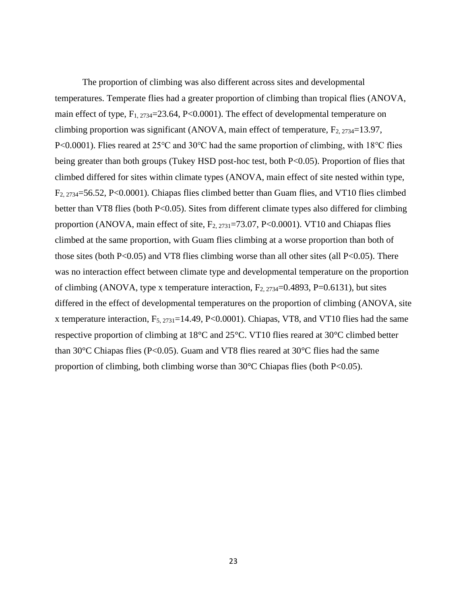The proportion of climbing was also different across sites and developmental temperatures. Temperate flies had a greater proportion of climbing than tropical flies (ANOVA, main effect of type,  $F_{1, 2734}=23.64$ , P<0.0001). The effect of developmental temperature on climbing proportion was significant (ANOVA, main effect of temperature,  $F_{2, 2734}=13.97$ , P<0.0001). Flies reared at 25°C and 30°C had the same proportion of climbing, with 18°C flies being greater than both groups (Tukey HSD post-hoc test, both P<0.05). Proportion of flies that climbed differed for sites within climate types (ANOVA, main effect of site nested within type, F2, 2734=56.52, P<0.0001). Chiapas flies climbed better than Guam flies, and VT10 flies climbed better than VT8 flies (both P<0.05). Sites from different climate types also differed for climbing proportion (ANOVA, main effect of site,  $F_{2, 2731} = 73.07$ , P<0.0001). VT10 and Chiapas flies climbed at the same proportion, with Guam flies climbing at a worse proportion than both of those sites (both  $P<0.05$ ) and VT8 flies climbing worse than all other sites (all  $P<0.05$ ). There was no interaction effect between climate type and developmental temperature on the proportion of climbing (ANOVA, type x temperature interaction,  $F_{2, 2734}$ =0.4893, P=0.6131), but sites differed in the effect of developmental temperatures on the proportion of climbing (ANOVA, site x temperature interaction,  $F_{5, 2731}$ =14.49, P<0.0001). Chiapas, VT8, and VT10 flies had the same respective proportion of climbing at 18°C and 25°C. VT10 flies reared at 30°C climbed better than 30 $\degree$ C Chiapas flies (P<0.05). Guam and VT8 flies reared at 30 $\degree$ C flies had the same proportion of climbing, both climbing worse than  $30^{\circ}$ C Chiapas flies (both P<0.05).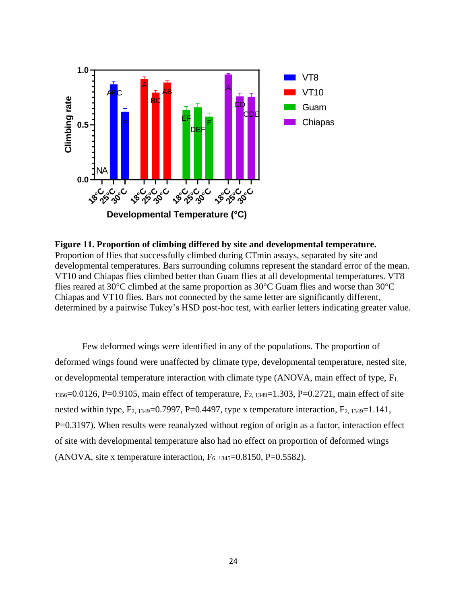

**Figure 11. Proportion of climbing differed by site and developmental temperature.**  Proportion of flies that successfully climbed during CTmin assays, separated by site and developmental temperatures. Bars surrounding columns represent the standard error of the mean. VT10 and Chiapas flies climbed better than Guam flies at all developmental temperatures. VT8 flies reared at 30°C climbed at the same proportion as 30°C Guam flies and worse than 30°C Chiapas and VT10 flies. Bars not connected by the same letter are significantly different, determined by a pairwise Tukey's HSD post-hoc test, with earlier letters indicating greater value.

Few deformed wings were identified in any of the populations. The proportion of deformed wings found were unaffected by climate type, developmental temperature, nested site, or developmental temperature interaction with climate type  $(ANOVA, main effect of type, F<sub>1</sub>)$  $1356=0.0126$ , P=0.9105, main effect of temperature, F<sub>2, 1349</sub>=1.303, P=0.2721, main effect of site nested within type,  $F_{2, 1349}=0.7997$ , P=0.4497, type x temperature interaction,  $F_{2, 1349}=1.141$ , P=0.3197). When results were reanalyzed without region of origin as a factor, interaction effect of site with developmental temperature also had no effect on proportion of deformed wings (ANOVA, site x temperature interaction,  $F_{6, 1345}$ =0.8150, P=0.5582).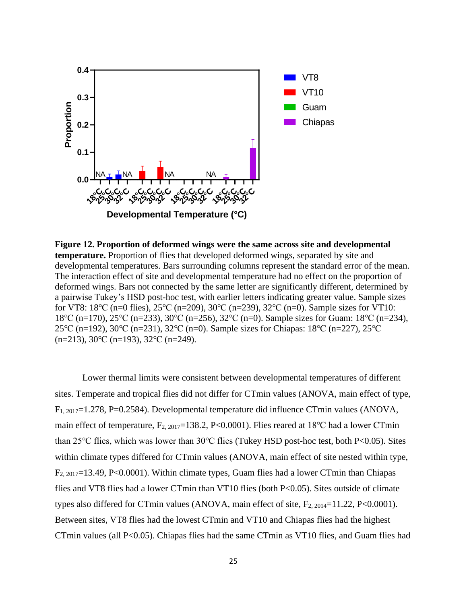

**Figure 12. Proportion of deformed wings were the same across site and developmental temperature.** Proportion of flies that developed deformed wings, separated by site and developmental temperatures. Bars surrounding columns represent the standard error of the mean. The interaction effect of site and developmental temperature had no effect on the proportion of deformed wings. Bars not connected by the same letter are significantly different, determined by a pairwise Tukey's HSD post-hoc test, with earlier letters indicating greater value. Sample sizes for VT8: 18℃ (n=0 flies), 25℃ (n=209), 30℃ (n=239), 32℃ (n=0). Sample sizes for VT10: 18℃ (n=170), 25℃ (n=233), 30℃ (n=256), 32℃ (n=0). Sample sizes for Guam: 18℃ (n=234), 25℃ (n=192), 30℃ (n=231), 32℃ (n=0). Sample sizes for Chiapas: 18℃ (n=227), 25℃ (n=213), 30℃ (n=193), 32℃ (n=249).

Lower thermal limits were consistent between developmental temperatures of different sites. Temperate and tropical flies did not differ for CTmin values (ANOVA, main effect of type, F1, 2017=1.278, P=0.2584). Developmental temperature did influence CTmin values (ANOVA, main effect of temperature,  $F_{2, 2017}=138.2$ , P<0.0001). Flies reared at 18<sup>o</sup>C had a lower CTmin than 25℃ flies, which was lower than 30℃ flies (Tukey HSD post-hoc test, both P<0.05). Sites within climate types differed for CTmin values (ANOVA, main effect of site nested within type, F2, 2017=13.49, P<0.0001). Within climate types, Guam flies had a lower CTmin than Chiapas flies and VT8 flies had a lower CTmin than VT10 flies (both P<0.05). Sites outside of climate types also differed for CTmin values (ANOVA, main effect of site,  $F_{2.2014}=11.22$ , P<0.0001). Between sites, VT8 flies had the lowest CTmin and VT10 and Chiapas flies had the highest CTmin values (all P<0.05). Chiapas flies had the same CTmin as VT10 flies, and Guam flies had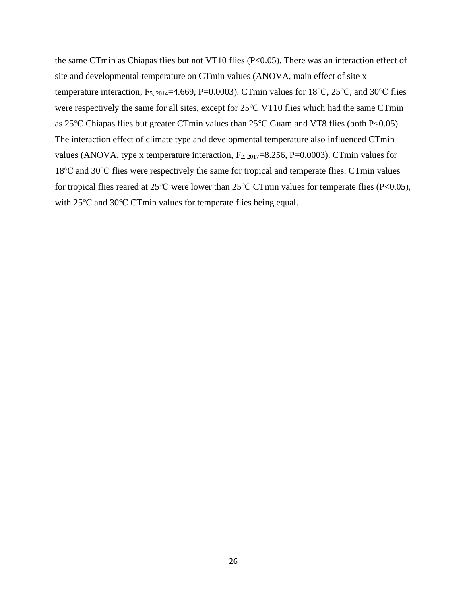the same CTmin as Chiapas flies but not VT10 flies (P<0.05). There was an interaction effect of site and developmental temperature on CTmin values (ANOVA, main effect of site x temperature interaction,  $F_{5, 2014}$ =4.669, P=0.0003). CTmin values for 18°C, 25°C, and 30°C flies were respectively the same for all sites, except for 25℃ VT10 flies which had the same CTmin as 25℃ Chiapas flies but greater CTmin values than 25℃ Guam and VT8 flies (both P<0.05). The interaction effect of climate type and developmental temperature also influenced CTmin values (ANOVA, type x temperature interaction,  $F_{2,2017}=8.256$ , P=0.0003). CTmin values for 18℃ and 30℃ flies were respectively the same for tropical and temperate flies. CTmin values for tropical flies reared at 25℃ were lower than 25℃ CTmin values for temperate flies (P<0.05), with 25℃ and 30℃ CTmin values for temperate flies being equal.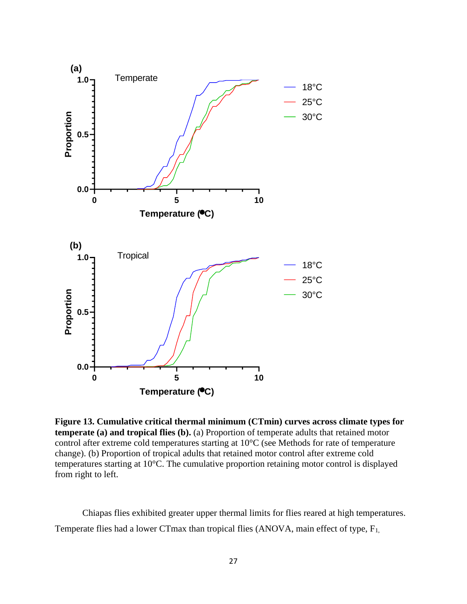

**Figure 13. Cumulative critical thermal minimum (CTmin) curves across climate types for temperate (a) and tropical flies (b).** (a) Proportion of temperate adults that retained motor control after extreme cold temperatures starting at 10°C (see Methods for rate of temperature change). (b) Proportion of tropical adults that retained motor control after extreme cold temperatures starting at 10°C. The cumulative proportion retaining motor control is displayed from right to left.

Chiapas flies exhibited greater upper thermal limits for flies reared at high temperatures. Temperate flies had a lower CTmax than tropical flies (ANOVA, main effect of type,  $F_{1}$ ,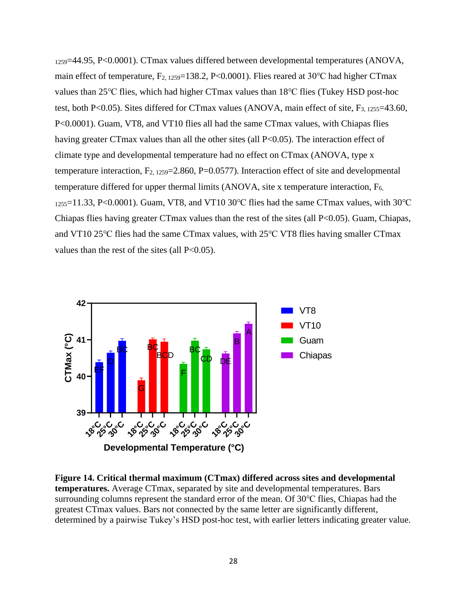<sup>1259</sup>=44.95, P<0.0001). CTmax values differed between developmental temperatures (ANOVA, main effect of temperature,  $F_{2, 1259}$ =138.2, P<0.0001). Flies reared at 30 °C had higher CTmax values than 25℃ flies, which had higher CTmax values than 18℃ flies (Tukey HSD post-hoc test, both P<0.05). Sites differed for CTmax values (ANOVA, main effect of site,  $F_{3, 1255}$ =43.60, P<0.0001). Guam, VT8, and VT10 flies all had the same CTmax values, with Chiapas flies having greater CTmax values than all the other sites (all P<0.05). The interaction effect of climate type and developmental temperature had no effect on CTmax (ANOVA, type x temperature interaction,  $F_{2, 1259} = 2.860$ , P=0.0577). Interaction effect of site and developmental temperature differed for upper thermal limits (ANOVA, site x temperature interaction,  $F_{6}$ ,  $1255=11.33$ , P<0.0001). Guam, VT8, and VT10 30 °C flies had the same CTmax values, with 30 °C Chiapas flies having greater CTmax values than the rest of the sites (all P<0.05). Guam, Chiapas, and VT10 25℃ flies had the same CTmax values, with 25℃ VT8 flies having smaller CTmax values than the rest of the sites (all  $P<0.05$ ).



**Figure 14. Critical thermal maximum (CTmax) differed across sites and developmental temperatures.** Average CTmax, separated by site and developmental temperatures. Bars surrounding columns represent the standard error of the mean. Of 30℃ flies, Chiapas had the greatest CTmax values. Bars not connected by the same letter are significantly different, determined by a pairwise Tukey's HSD post-hoc test, with earlier letters indicating greater value.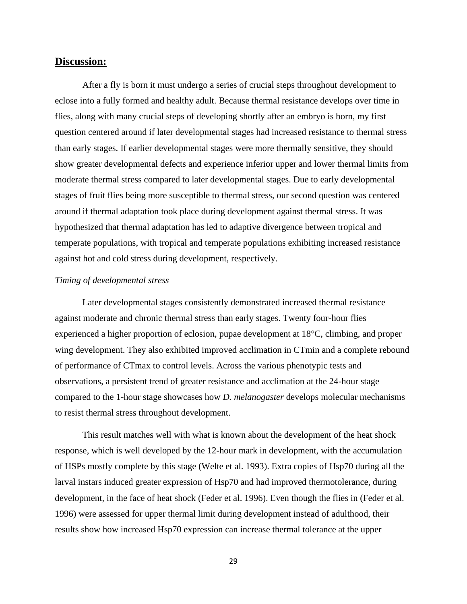# **Discussion:**

After a fly is born it must undergo a series of crucial steps throughout development to eclose into a fully formed and healthy adult. Because thermal resistance develops over time in flies, along with many crucial steps of developing shortly after an embryo is born, my first question centered around if later developmental stages had increased resistance to thermal stress than early stages. If earlier developmental stages were more thermally sensitive, they should show greater developmental defects and experience inferior upper and lower thermal limits from moderate thermal stress compared to later developmental stages. Due to early developmental stages of fruit flies being more susceptible to thermal stress, our second question was centered around if thermal adaptation took place during development against thermal stress. It was hypothesized that thermal adaptation has led to adaptive divergence between tropical and temperate populations, with tropical and temperate populations exhibiting increased resistance against hot and cold stress during development, respectively.

# *Timing of developmental stress*

Later developmental stages consistently demonstrated increased thermal resistance against moderate and chronic thermal stress than early stages. Twenty four-hour flies experienced a higher proportion of eclosion, pupae development at 18°C, climbing, and proper wing development. They also exhibited improved acclimation in CTmin and a complete rebound of performance of CTmax to control levels. Across the various phenotypic tests and observations, a persistent trend of greater resistance and acclimation at the 24-hour stage compared to the 1-hour stage showcases how *D. melanogaster* develops molecular mechanisms to resist thermal stress throughout development.

This result matches well with what is known about the development of the heat shock response, which is well developed by the 12-hour mark in development, with the accumulation of HSPs mostly complete by this stage (Welte et al. 1993). Extra copies of Hsp70 during all the larval instars induced greater expression of Hsp70 and had improved thermotolerance, during development, in the face of heat shock (Feder et al. 1996). Even though the flies in (Feder et al. 1996) were assessed for upper thermal limit during development instead of adulthood, their results show how increased Hsp70 expression can increase thermal tolerance at the upper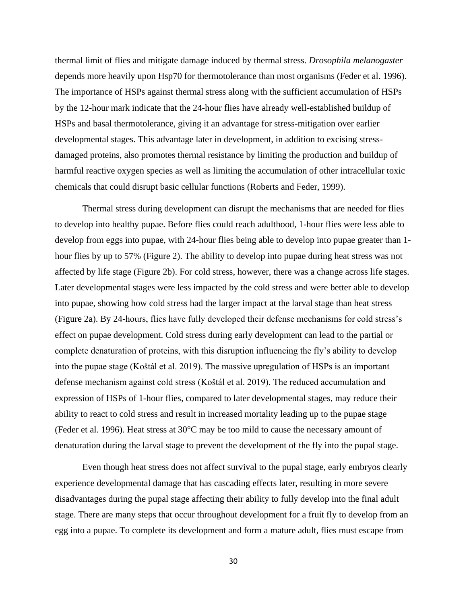thermal limit of flies and mitigate damage induced by thermal stress. *Drosophila melanogaster*  depends more heavily upon Hsp70 for thermotolerance than most organisms (Feder et al. 1996). The importance of HSPs against thermal stress along with the sufficient accumulation of HSPs by the 12-hour mark indicate that the 24-hour flies have already well-established buildup of HSPs and basal thermotolerance, giving it an advantage for stress-mitigation over earlier developmental stages. This advantage later in development, in addition to excising stressdamaged proteins, also promotes thermal resistance by limiting the production and buildup of harmful reactive oxygen species as well as limiting the accumulation of other intracellular toxic chemicals that could disrupt basic cellular functions (Roberts and Feder, 1999).

Thermal stress during development can disrupt the mechanisms that are needed for flies to develop into healthy pupae. Before flies could reach adulthood, 1-hour flies were less able to develop from eggs into pupae, with 24-hour flies being able to develop into pupae greater than 1 hour flies by up to 57% (Figure 2). The ability to develop into pupae during heat stress was not affected by life stage (Figure 2b). For cold stress, however, there was a change across life stages. Later developmental stages were less impacted by the cold stress and were better able to develop into pupae, showing how cold stress had the larger impact at the larval stage than heat stress (Figure 2a). By 24-hours, flies have fully developed their defense mechanisms for cold stress's effect on pupae development. Cold stress during early development can lead to the partial or complete denaturation of proteins, with this disruption influencing the fly's ability to develop into the pupae stage (Koštál et al. 2019). The massive upregulation of HSPs is an important defense mechanism against cold stress (Koštál et al. 2019). The reduced accumulation and expression of HSPs of 1-hour flies, compared to later developmental stages, may reduce their ability to react to cold stress and result in increased mortality leading up to the pupae stage (Feder et al. 1996). Heat stress at 30°C may be too mild to cause the necessary amount of denaturation during the larval stage to prevent the development of the fly into the pupal stage.

Even though heat stress does not affect survival to the pupal stage, early embryos clearly experience developmental damage that has cascading effects later, resulting in more severe disadvantages during the pupal stage affecting their ability to fully develop into the final adult stage. There are many steps that occur throughout development for a fruit fly to develop from an egg into a pupae. To complete its development and form a mature adult, flies must escape from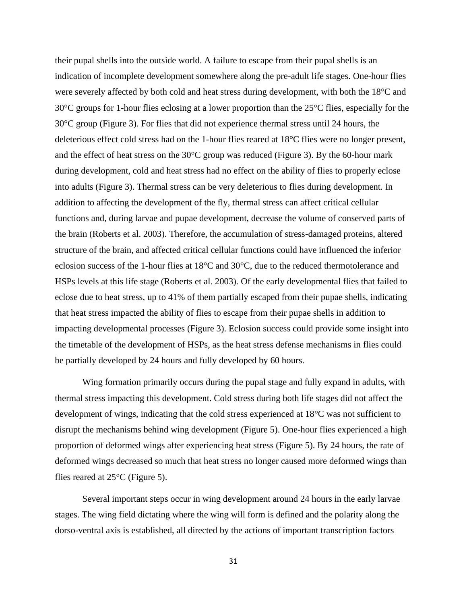their pupal shells into the outside world. A failure to escape from their pupal shells is an indication of incomplete development somewhere along the pre-adult life stages. One-hour flies were severely affected by both cold and heat stress during development, with both the 18°C and 30°C groups for 1-hour flies eclosing at a lower proportion than the 25°C flies, especially for the 30°C group (Figure 3). For flies that did not experience thermal stress until 24 hours, the deleterious effect cold stress had on the 1-hour flies reared at 18°C flies were no longer present, and the effect of heat stress on the  $30^{\circ}$ C group was reduced (Figure 3). By the 60-hour mark during development, cold and heat stress had no effect on the ability of flies to properly eclose into adults (Figure 3). Thermal stress can be very deleterious to flies during development. In addition to affecting the development of the fly, thermal stress can affect critical cellular functions and, during larvae and pupae development, decrease the volume of conserved parts of the brain (Roberts et al. 2003). Therefore, the accumulation of stress-damaged proteins, altered structure of the brain, and affected critical cellular functions could have influenced the inferior eclosion success of the 1-hour flies at 18°C and 30°C, due to the reduced thermotolerance and HSPs levels at this life stage (Roberts et al. 2003). Of the early developmental flies that failed to eclose due to heat stress, up to 41% of them partially escaped from their pupae shells, indicating that heat stress impacted the ability of flies to escape from their pupae shells in addition to impacting developmental processes (Figure 3). Eclosion success could provide some insight into the timetable of the development of HSPs, as the heat stress defense mechanisms in flies could be partially developed by 24 hours and fully developed by 60 hours.

Wing formation primarily occurs during the pupal stage and fully expand in adults, with thermal stress impacting this development. Cold stress during both life stages did not affect the development of wings, indicating that the cold stress experienced at 18°C was not sufficient to disrupt the mechanisms behind wing development (Figure 5). One-hour flies experienced a high proportion of deformed wings after experiencing heat stress (Figure 5). By 24 hours, the rate of deformed wings decreased so much that heat stress no longer caused more deformed wings than flies reared at  $25^{\circ}$ C (Figure 5).

Several important steps occur in wing development around 24 hours in the early larvae stages. The wing field dictating where the wing will form is defined and the polarity along the dorso-ventral axis is established, all directed by the actions of important transcription factors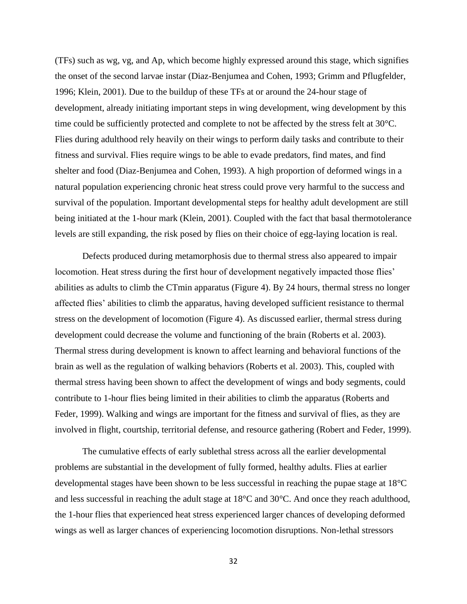(TFs) such as wg, vg, and Ap, which become highly expressed around this stage, which signifies the onset of the second larvae instar (Diaz-Benjumea and Cohen, 1993; Grimm and Pflugfelder, 1996; Klein, 2001). Due to the buildup of these TFs at or around the 24-hour stage of development, already initiating important steps in wing development, wing development by this time could be sufficiently protected and complete to not be affected by the stress felt at 30°C. Flies during adulthood rely heavily on their wings to perform daily tasks and contribute to their fitness and survival. Flies require wings to be able to evade predators, find mates, and find shelter and food (Diaz-Benjumea and Cohen, 1993). A high proportion of deformed wings in a natural population experiencing chronic heat stress could prove very harmful to the success and survival of the population. Important developmental steps for healthy adult development are still being initiated at the 1-hour mark (Klein, 2001). Coupled with the fact that basal thermotolerance levels are still expanding, the risk posed by flies on their choice of egg-laying location is real.

Defects produced during metamorphosis due to thermal stress also appeared to impair locomotion. Heat stress during the first hour of development negatively impacted those flies' abilities as adults to climb the CTmin apparatus (Figure 4). By 24 hours, thermal stress no longer affected flies' abilities to climb the apparatus, having developed sufficient resistance to thermal stress on the development of locomotion (Figure 4). As discussed earlier, thermal stress during development could decrease the volume and functioning of the brain (Roberts et al. 2003). Thermal stress during development is known to affect learning and behavioral functions of the brain as well as the regulation of walking behaviors (Roberts et al. 2003). This, coupled with thermal stress having been shown to affect the development of wings and body segments, could contribute to 1-hour flies being limited in their abilities to climb the apparatus (Roberts and Feder, 1999). Walking and wings are important for the fitness and survival of flies, as they are involved in flight, courtship, territorial defense, and resource gathering (Robert and Feder, 1999).

The cumulative effects of early sublethal stress across all the earlier developmental problems are substantial in the development of fully formed, healthy adults. Flies at earlier developmental stages have been shown to be less successful in reaching the pupae stage at 18°C and less successful in reaching the adult stage at 18°C and 30°C. And once they reach adulthood, the 1-hour flies that experienced heat stress experienced larger chances of developing deformed wings as well as larger chances of experiencing locomotion disruptions. Non-lethal stressors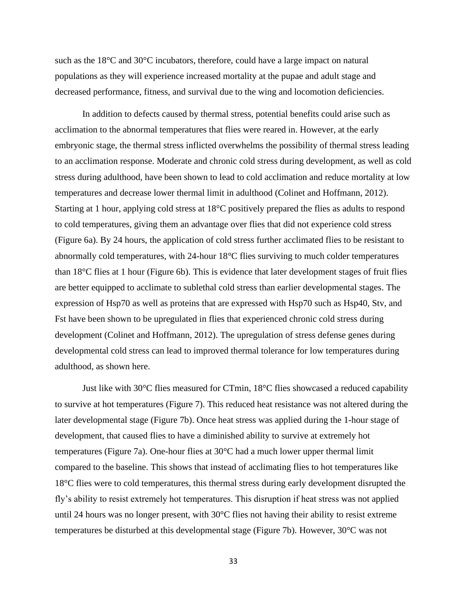such as the 18°C and 30°C incubators, therefore, could have a large impact on natural populations as they will experience increased mortality at the pupae and adult stage and decreased performance, fitness, and survival due to the wing and locomotion deficiencies.

In addition to defects caused by thermal stress, potential benefits could arise such as acclimation to the abnormal temperatures that flies were reared in. However, at the early embryonic stage, the thermal stress inflicted overwhelms the possibility of thermal stress leading to an acclimation response. Moderate and chronic cold stress during development, as well as cold stress during adulthood, have been shown to lead to cold acclimation and reduce mortality at low temperatures and decrease lower thermal limit in adulthood (Colinet and Hoffmann, 2012). Starting at 1 hour, applying cold stress at 18°C positively prepared the flies as adults to respond to cold temperatures, giving them an advantage over flies that did not experience cold stress (Figure 6a). By 24 hours, the application of cold stress further acclimated flies to be resistant to abnormally cold temperatures, with 24-hour 18°C flies surviving to much colder temperatures than 18°C flies at 1 hour (Figure 6b). This is evidence that later development stages of fruit flies are better equipped to acclimate to sublethal cold stress than earlier developmental stages. The expression of Hsp70 as well as proteins that are expressed with Hsp70 such as Hsp40, Stv, and Fst have been shown to be upregulated in flies that experienced chronic cold stress during development (Colinet and Hoffmann, 2012). The upregulation of stress defense genes during developmental cold stress can lead to improved thermal tolerance for low temperatures during adulthood, as shown here.

Just like with  $30^{\circ}$ C flies measured for CTmin,  $18^{\circ}$ C flies showcased a reduced capability to survive at hot temperatures (Figure 7). This reduced heat resistance was not altered during the later developmental stage (Figure 7b). Once heat stress was applied during the 1-hour stage of development, that caused flies to have a diminished ability to survive at extremely hot temperatures (Figure 7a). One-hour flies at 30°C had a much lower upper thermal limit compared to the baseline. This shows that instead of acclimating flies to hot temperatures like 18°C flies were to cold temperatures, this thermal stress during early development disrupted the fly's ability to resist extremely hot temperatures. This disruption if heat stress was not applied until 24 hours was no longer present, with 30°C flies not having their ability to resist extreme temperatures be disturbed at this developmental stage (Figure 7b). However, 30°C was not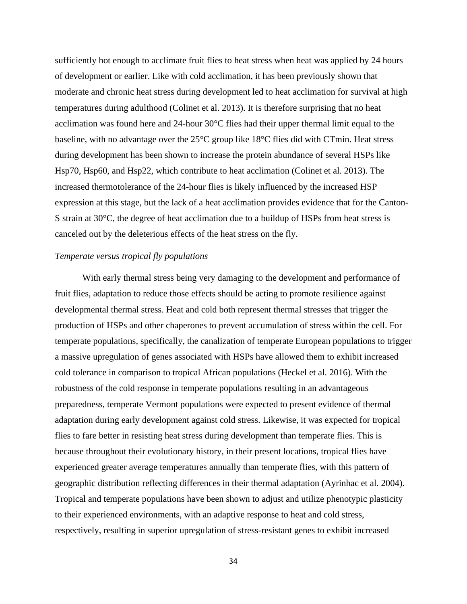sufficiently hot enough to acclimate fruit flies to heat stress when heat was applied by 24 hours of development or earlier. Like with cold acclimation, it has been previously shown that moderate and chronic heat stress during development led to heat acclimation for survival at high temperatures during adulthood (Colinet et al. 2013). It is therefore surprising that no heat acclimation was found here and 24-hour 30°C flies had their upper thermal limit equal to the baseline, with no advantage over the 25°C group like 18°C flies did with CTmin. Heat stress during development has been shown to increase the protein abundance of several HSPs like Hsp70, Hsp60, and Hsp22, which contribute to heat acclimation (Colinet et al. 2013). The increased thermotolerance of the 24-hour flies is likely influenced by the increased HSP expression at this stage, but the lack of a heat acclimation provides evidence that for the Canton-S strain at 30°C, the degree of heat acclimation due to a buildup of HSPs from heat stress is canceled out by the deleterious effects of the heat stress on the fly.

## *Temperate versus tropical fly populations*

With early thermal stress being very damaging to the development and performance of fruit flies, adaptation to reduce those effects should be acting to promote resilience against developmental thermal stress. Heat and cold both represent thermal stresses that trigger the production of HSPs and other chaperones to prevent accumulation of stress within the cell. For temperate populations, specifically, the canalization of temperate European populations to trigger a massive upregulation of genes associated with HSPs have allowed them to exhibit increased cold tolerance in comparison to tropical African populations (Heckel et al. 2016). With the robustness of the cold response in temperate populations resulting in an advantageous preparedness, temperate Vermont populations were expected to present evidence of thermal adaptation during early development against cold stress. Likewise, it was expected for tropical flies to fare better in resisting heat stress during development than temperate flies. This is because throughout their evolutionary history, in their present locations, tropical flies have experienced greater average temperatures annually than temperate flies, with this pattern of geographic distribution reflecting differences in their thermal adaptation (Ayrinhac et al. 2004). Tropical and temperate populations have been shown to adjust and utilize phenotypic plasticity to their experienced environments, with an adaptive response to heat and cold stress, respectively, resulting in superior upregulation of stress-resistant genes to exhibit increased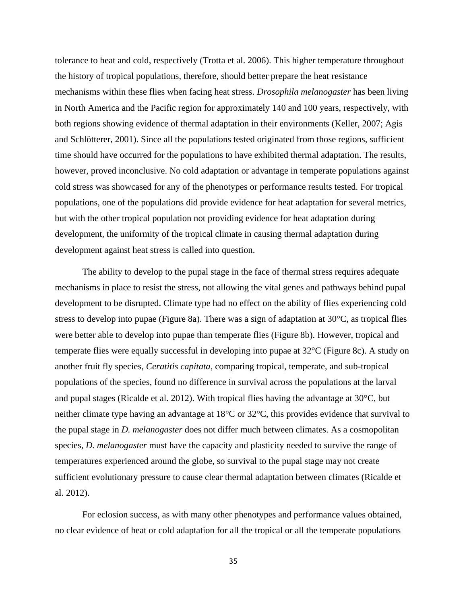tolerance to heat and cold, respectively (Trotta et al. 2006). This higher temperature throughout the history of tropical populations, therefore, should better prepare the heat resistance mechanisms within these flies when facing heat stress. *Drosophila melanogaster* has been living in North America and the Pacific region for approximately 140 and 100 years, respectively, with both regions showing evidence of thermal adaptation in their environments (Keller, 2007; Agis and Schlötterer, 2001). Since all the populations tested originated from those regions, sufficient time should have occurred for the populations to have exhibited thermal adaptation. The results, however, proved inconclusive. No cold adaptation or advantage in temperate populations against cold stress was showcased for any of the phenotypes or performance results tested. For tropical populations, one of the populations did provide evidence for heat adaptation for several metrics, but with the other tropical population not providing evidence for heat adaptation during development, the uniformity of the tropical climate in causing thermal adaptation during development against heat stress is called into question.

The ability to develop to the pupal stage in the face of thermal stress requires adequate mechanisms in place to resist the stress, not allowing the vital genes and pathways behind pupal development to be disrupted. Climate type had no effect on the ability of flies experiencing cold stress to develop into pupae (Figure 8a). There was a sign of adaptation at  $30^{\circ}$ C, as tropical flies were better able to develop into pupae than temperate flies (Figure 8b). However, tropical and temperate flies were equally successful in developing into pupae at 32°C (Figure 8c). A study on another fruit fly species, *Ceratitis capitata*, comparing tropical, temperate, and sub-tropical populations of the species, found no difference in survival across the populations at the larval and pupal stages (Ricalde et al. 2012). With tropical flies having the advantage at 30°C, but neither climate type having an advantage at 18°C or 32°C, this provides evidence that survival to the pupal stage in *D. melanogaster* does not differ much between climates. As a cosmopolitan species, *D. melanogaster* must have the capacity and plasticity needed to survive the range of temperatures experienced around the globe, so survival to the pupal stage may not create sufficient evolutionary pressure to cause clear thermal adaptation between climates (Ricalde et al. 2012).

For eclosion success, as with many other phenotypes and performance values obtained, no clear evidence of heat or cold adaptation for all the tropical or all the temperate populations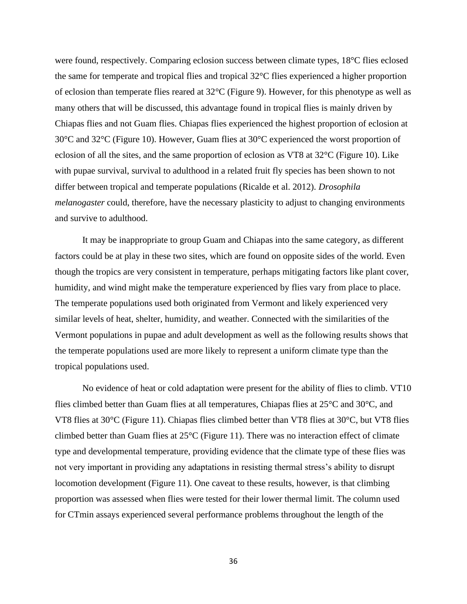were found, respectively. Comparing eclosion success between climate types, 18°C flies eclosed the same for temperate and tropical flies and tropical 32°C flies experienced a higher proportion of eclosion than temperate flies reared at 32°C (Figure 9). However, for this phenotype as well as many others that will be discussed, this advantage found in tropical flies is mainly driven by Chiapas flies and not Guam flies. Chiapas flies experienced the highest proportion of eclosion at 30°C and 32°C (Figure 10). However, Guam flies at 30°C experienced the worst proportion of eclosion of all the sites, and the same proportion of eclosion as VT8 at 32°C (Figure 10). Like with pupae survival, survival to adulthood in a related fruit fly species has been shown to not differ between tropical and temperate populations (Ricalde et al. 2012). *Drosophila melanogaster* could, therefore, have the necessary plasticity to adjust to changing environments and survive to adulthood.

It may be inappropriate to group Guam and Chiapas into the same category, as different factors could be at play in these two sites, which are found on opposite sides of the world. Even though the tropics are very consistent in temperature, perhaps mitigating factors like plant cover, humidity, and wind might make the temperature experienced by flies vary from place to place. The temperate populations used both originated from Vermont and likely experienced very similar levels of heat, shelter, humidity, and weather. Connected with the similarities of the Vermont populations in pupae and adult development as well as the following results shows that the temperate populations used are more likely to represent a uniform climate type than the tropical populations used.

No evidence of heat or cold adaptation were present for the ability of flies to climb. VT10 flies climbed better than Guam flies at all temperatures, Chiapas flies at 25°C and 30°C, and VT8 flies at 30°C (Figure 11). Chiapas flies climbed better than VT8 flies at 30°C, but VT8 flies climbed better than Guam flies at 25°C (Figure 11). There was no interaction effect of climate type and developmental temperature, providing evidence that the climate type of these flies was not very important in providing any adaptations in resisting thermal stress's ability to disrupt locomotion development (Figure 11). One caveat to these results, however, is that climbing proportion was assessed when flies were tested for their lower thermal limit. The column used for CTmin assays experienced several performance problems throughout the length of the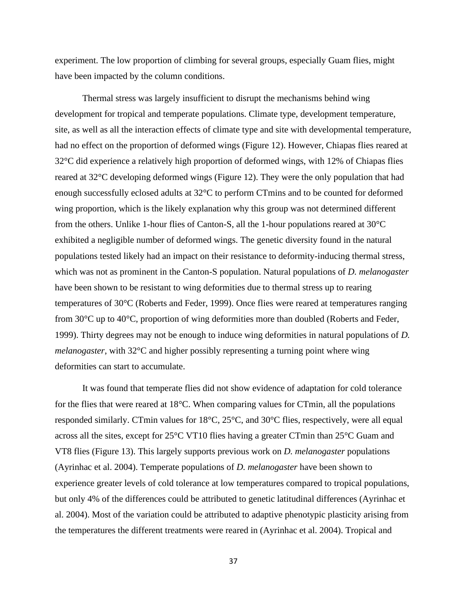experiment. The low proportion of climbing for several groups, especially Guam flies, might have been impacted by the column conditions.

Thermal stress was largely insufficient to disrupt the mechanisms behind wing development for tropical and temperate populations. Climate type, development temperature, site, as well as all the interaction effects of climate type and site with developmental temperature, had no effect on the proportion of deformed wings (Figure 12). However, Chiapas flies reared at 32°C did experience a relatively high proportion of deformed wings, with 12% of Chiapas flies reared at 32°C developing deformed wings (Figure 12). They were the only population that had enough successfully eclosed adults at 32°C to perform CTmins and to be counted for deformed wing proportion, which is the likely explanation why this group was not determined different from the others. Unlike 1-hour flies of Canton-S, all the 1-hour populations reared at 30°C exhibited a negligible number of deformed wings. The genetic diversity found in the natural populations tested likely had an impact on their resistance to deformity-inducing thermal stress, which was not as prominent in the Canton-S population. Natural populations of *D. melanogaster*  have been shown to be resistant to wing deformities due to thermal stress up to rearing temperatures of 30°C (Roberts and Feder, 1999). Once flies were reared at temperatures ranging from 30°C up to 40°C, proportion of wing deformities more than doubled (Roberts and Feder, 1999). Thirty degrees may not be enough to induce wing deformities in natural populations of *D. melanogaster*, with 32°C and higher possibly representing a turning point where wing deformities can start to accumulate.

It was found that temperate flies did not show evidence of adaptation for cold tolerance for the flies that were reared at 18°C. When comparing values for CTmin, all the populations responded similarly. CTmin values for 18°C, 25°C, and 30°C flies, respectively, were all equal across all the sites, except for 25°C VT10 flies having a greater CTmin than 25°C Guam and VT8 flies (Figure 13). This largely supports previous work on *D. melanogaster* populations (Ayrinhac et al. 2004). Temperate populations of *D. melanogaster* have been shown to experience greater levels of cold tolerance at low temperatures compared to tropical populations, but only 4% of the differences could be attributed to genetic latitudinal differences (Ayrinhac et al. 2004). Most of the variation could be attributed to adaptive phenotypic plasticity arising from the temperatures the different treatments were reared in (Ayrinhac et al. 2004). Tropical and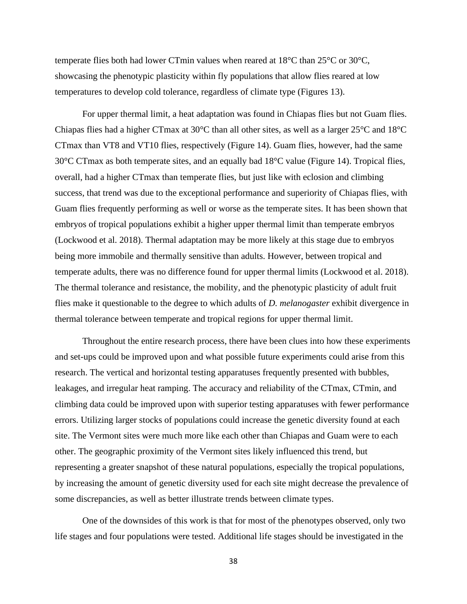temperate flies both had lower CTmin values when reared at 18°C than 25°C or 30°C, showcasing the phenotypic plasticity within fly populations that allow flies reared at low temperatures to develop cold tolerance, regardless of climate type (Figures 13).

For upper thermal limit, a heat adaptation was found in Chiapas flies but not Guam flies. Chiapas flies had a higher CTmax at 30°C than all other sites, as well as a larger 25°C and 18°C CTmax than VT8 and VT10 flies, respectively (Figure 14). Guam flies, however, had the same 30°C CTmax as both temperate sites, and an equally bad 18°C value (Figure 14). Tropical flies, overall, had a higher CTmax than temperate flies, but just like with eclosion and climbing success, that trend was due to the exceptional performance and superiority of Chiapas flies, with Guam flies frequently performing as well or worse as the temperate sites. It has been shown that embryos of tropical populations exhibit a higher upper thermal limit than temperate embryos (Lockwood et al. 2018). Thermal adaptation may be more likely at this stage due to embryos being more immobile and thermally sensitive than adults. However, between tropical and temperate adults, there was no difference found for upper thermal limits (Lockwood et al. 2018). The thermal tolerance and resistance, the mobility, and the phenotypic plasticity of adult fruit flies make it questionable to the degree to which adults of *D. melanogaster* exhibit divergence in thermal tolerance between temperate and tropical regions for upper thermal limit.

Throughout the entire research process, there have been clues into how these experiments and set-ups could be improved upon and what possible future experiments could arise from this research. The vertical and horizontal testing apparatuses frequently presented with bubbles, leakages, and irregular heat ramping. The accuracy and reliability of the CTmax, CTmin, and climbing data could be improved upon with superior testing apparatuses with fewer performance errors. Utilizing larger stocks of populations could increase the genetic diversity found at each site. The Vermont sites were much more like each other than Chiapas and Guam were to each other. The geographic proximity of the Vermont sites likely influenced this trend, but representing a greater snapshot of these natural populations, especially the tropical populations, by increasing the amount of genetic diversity used for each site might decrease the prevalence of some discrepancies, as well as better illustrate trends between climate types.

One of the downsides of this work is that for most of the phenotypes observed, only two life stages and four populations were tested. Additional life stages should be investigated in the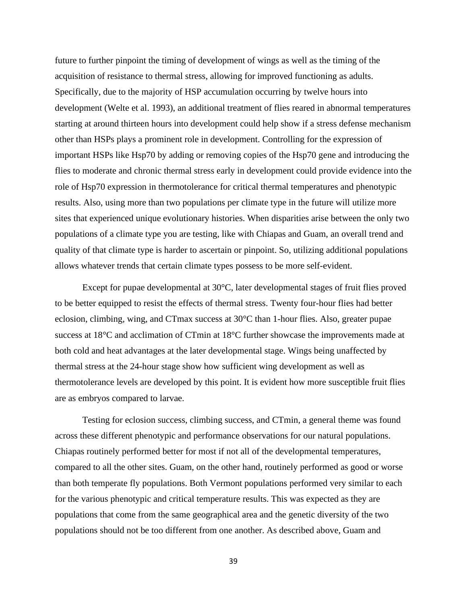future to further pinpoint the timing of development of wings as well as the timing of the acquisition of resistance to thermal stress, allowing for improved functioning as adults. Specifically, due to the majority of HSP accumulation occurring by twelve hours into development (Welte et al. 1993), an additional treatment of flies reared in abnormal temperatures starting at around thirteen hours into development could help show if a stress defense mechanism other than HSPs plays a prominent role in development. Controlling for the expression of important HSPs like Hsp70 by adding or removing copies of the Hsp70 gene and introducing the flies to moderate and chronic thermal stress early in development could provide evidence into the role of Hsp70 expression in thermotolerance for critical thermal temperatures and phenotypic results. Also, using more than two populations per climate type in the future will utilize more sites that experienced unique evolutionary histories. When disparities arise between the only two populations of a climate type you are testing, like with Chiapas and Guam, an overall trend and quality of that climate type is harder to ascertain or pinpoint. So, utilizing additional populations allows whatever trends that certain climate types possess to be more self-evident.

Except for pupae developmental at 30°C, later developmental stages of fruit flies proved to be better equipped to resist the effects of thermal stress. Twenty four-hour flies had better eclosion, climbing, wing, and CTmax success at 30°C than 1-hour flies. Also, greater pupae success at 18°C and acclimation of CTmin at 18°C further showcase the improvements made at both cold and heat advantages at the later developmental stage. Wings being unaffected by thermal stress at the 24-hour stage show how sufficient wing development as well as thermotolerance levels are developed by this point. It is evident how more susceptible fruit flies are as embryos compared to larvae.

Testing for eclosion success, climbing success, and CTmin, a general theme was found across these different phenotypic and performance observations for our natural populations. Chiapas routinely performed better for most if not all of the developmental temperatures, compared to all the other sites. Guam, on the other hand, routinely performed as good or worse than both temperate fly populations. Both Vermont populations performed very similar to each for the various phenotypic and critical temperature results. This was expected as they are populations that come from the same geographical area and the genetic diversity of the two populations should not be too different from one another. As described above, Guam and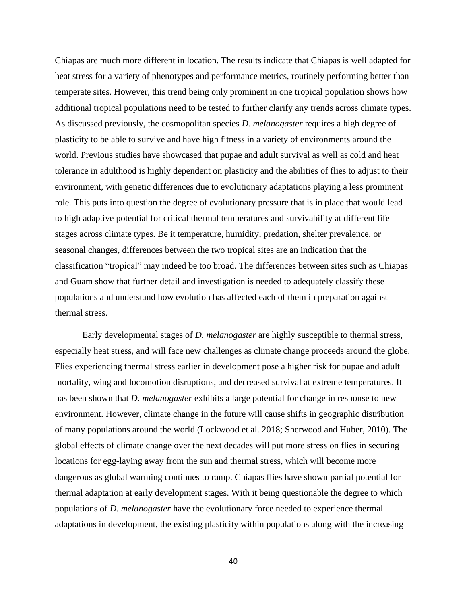Chiapas are much more different in location. The results indicate that Chiapas is well adapted for heat stress for a variety of phenotypes and performance metrics, routinely performing better than temperate sites. However, this trend being only prominent in one tropical population shows how additional tropical populations need to be tested to further clarify any trends across climate types. As discussed previously, the cosmopolitan species *D. melanogaster* requires a high degree of plasticity to be able to survive and have high fitness in a variety of environments around the world. Previous studies have showcased that pupae and adult survival as well as cold and heat tolerance in adulthood is highly dependent on plasticity and the abilities of flies to adjust to their environment, with genetic differences due to evolutionary adaptations playing a less prominent role. This puts into question the degree of evolutionary pressure that is in place that would lead to high adaptive potential for critical thermal temperatures and survivability at different life stages across climate types. Be it temperature, humidity, predation, shelter prevalence, or seasonal changes, differences between the two tropical sites are an indication that the classification "tropical" may indeed be too broad. The differences between sites such as Chiapas and Guam show that further detail and investigation is needed to adequately classify these populations and understand how evolution has affected each of them in preparation against thermal stress.

Early developmental stages of *D. melanogaster* are highly susceptible to thermal stress, especially heat stress, and will face new challenges as climate change proceeds around the globe. Flies experiencing thermal stress earlier in development pose a higher risk for pupae and adult mortality, wing and locomotion disruptions, and decreased survival at extreme temperatures. It has been shown that *D. melanogaster* exhibits a large potential for change in response to new environment. However, climate change in the future will cause shifts in geographic distribution of many populations around the world (Lockwood et al. 2018; Sherwood and Huber, 2010). The global effects of climate change over the next decades will put more stress on flies in securing locations for egg-laying away from the sun and thermal stress, which will become more dangerous as global warming continues to ramp. Chiapas flies have shown partial potential for thermal adaptation at early development stages. With it being questionable the degree to which populations of *D. melanogaster* have the evolutionary force needed to experience thermal adaptations in development, the existing plasticity within populations along with the increasing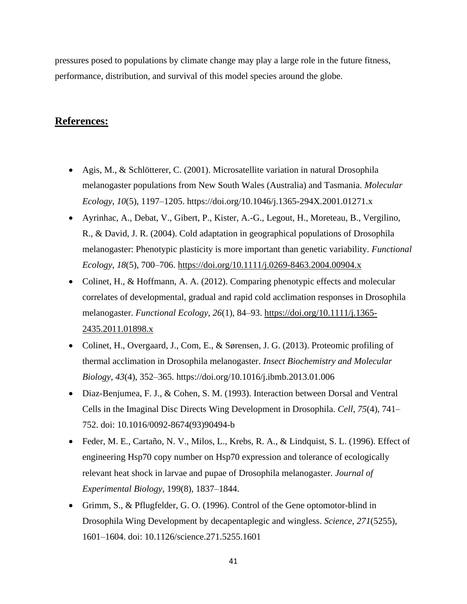pressures posed to populations by climate change may play a large role in the future fitness, performance, distribution, and survival of this model species around the globe.

# **References:**

- Agis, M., & Schlötterer, C. (2001). Microsatellite variation in natural Drosophila melanogaster populations from New South Wales (Australia) and Tasmania. *Molecular Ecology*, *10*(5), 1197–1205. https://doi.org/10.1046/j.1365-294X.2001.01271.x
- Ayrinhac, A., Debat, V., Gibert, P., Kister, A.-G., Legout, H., Moreteau, B., Vergilino, R., & David, J. R. (2004). Cold adaptation in geographical populations of Drosophila melanogaster: Phenotypic plasticity is more important than genetic variability. *Functional Ecology*, *18*(5), 700–706.<https://doi.org/10.1111/j.0269-8463.2004.00904.x>
- Colinet, H., & Hoffmann, A. A. (2012). Comparing phenotypic effects and molecular correlates of developmental, gradual and rapid cold acclimation responses in Drosophila melanogaster. *Functional Ecology*, *26*(1), 84–93. [https://doi.org/10.1111/j.1365-](https://doi.org/10.1111/j.1365-2435.2011.01898.x) [2435.2011.01898.x](https://doi.org/10.1111/j.1365-2435.2011.01898.x)
- Colinet, H., Overgaard, J., Com, E., & Sørensen, J. G. (2013). Proteomic profiling of thermal acclimation in Drosophila melanogaster. *Insect Biochemistry and Molecular Biology*, *43*(4), 352–365. https://doi.org/10.1016/j.ibmb.2013.01.006
- Diaz-Benjumea, F. J., & Cohen, S. M. (1993). Interaction between Dorsal and Ventral Cells in the Imaginal Disc Directs Wing Development in Drosophila. *Cell*, *75*(4), 741– 752. doi: 10.1016/0092-8674(93)90494-b
- Feder, M. E., Cartaño, N. V., Milos, L., Krebs, R. A., & Lindquist, S. L. (1996). Effect of engineering Hsp70 copy number on Hsp70 expression and tolerance of ecologically relevant heat shock in larvae and pupae of Drosophila melanogaster. *Journal of Experimental Biology*, 199(8), 1837–1844.
- Grimm, S., & Pflugfelder, G. O. (1996). Control of the Gene optomotor-blind in Drosophila Wing Development by decapentaplegic and wingless. *Science*, *271*(5255), 1601–1604. doi: 10.1126/science.271.5255.1601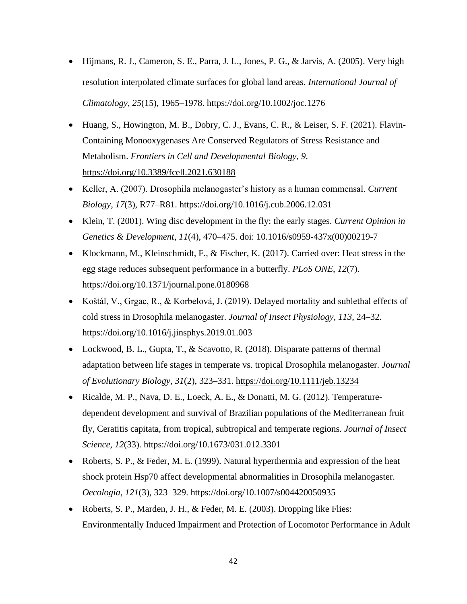- Hijmans, R. J., Cameron, S. E., Parra, J. L., Jones, P. G., & Jarvis, A. (2005). Very high resolution interpolated climate surfaces for global land areas. *International Journal of Climatology*, *25*(15), 1965–1978. https://doi.org/10.1002/joc.1276
- Huang, S., Howington, M. B., Dobry, C. J., Evans, C. R., & Leiser, S. F. (2021). Flavin-Containing Monooxygenases Are Conserved Regulators of Stress Resistance and Metabolism. *Frontiers in Cell and Developmental Biology*, *9*. <https://doi.org/10.3389/fcell.2021.630188>
- Keller, A. (2007). Drosophila melanogaster's history as a human commensal. *Current Biology*, *17*(3), R77–R81. https://doi.org/10.1016/j.cub.2006.12.031
- Klein, T. (2001). Wing disc development in the fly: the early stages. *Current Opinion in Genetics & Development*, *11*(4), 470–475. doi: 10.1016/s0959-437x(00)00219-7
- Klockmann, M., Kleinschmidt, F., & Fischer, K. (2017). Carried over: Heat stress in the egg stage reduces subsequent performance in a butterfly. *PLoS ONE*, *12*(7). <https://doi.org/10.1371/journal.pone.0180968>
- Koštál, V., Grgac, R., & Korbelová, J. (2019). Delayed mortality and sublethal effects of cold stress in Drosophila melanogaster. *Journal of Insect Physiology*, *113*, 24–32. https://doi.org/10.1016/j.jinsphys.2019.01.003
- Lockwood, B. L., Gupta, T., & Scavotto, R. (2018). Disparate patterns of thermal adaptation between life stages in temperate vs. tropical Drosophila melanogaster. *Journal of Evolutionary Biology*, *31*(2), 323–331.<https://doi.org/10.1111/jeb.13234>
- Ricalde, M. P., Nava, D. E., Loeck, A. E., & Donatti, M. G. (2012). Temperaturedependent development and survival of Brazilian populations of the Mediterranean fruit fly, Ceratitis capitata, from tropical, subtropical and temperate regions. *Journal of Insect Science*, *12*(33). https://doi.org/10.1673/031.012.3301
- Roberts, S. P., & Feder, M. E. (1999). Natural hyperthermia and expression of the heat shock protein Hsp70 affect developmental abnormalities in Drosophila melanogaster. *Oecologia*, *121*(3), 323–329. https://doi.org/10.1007/s004420050935
- Roberts, S. P., Marden, J. H., & Feder, M. E. (2003). Dropping like Flies: Environmentally Induced Impairment and Protection of Locomotor Performance in Adult